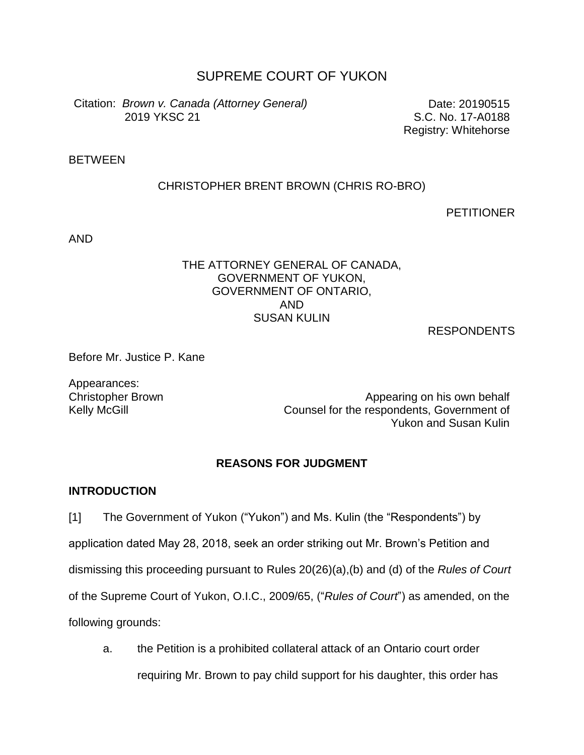# SUPREME COURT OF YUKON

Citation: *Brown v. Canada (Attorney General)* 2019 YKSC 21

Date: 20190515 S.C. No. 17-A0188 Registry: Whitehorse

### BETWEEN

### CHRISTOPHER BRENT BROWN (CHRIS RO-BRO)

**PETITIONER** 

AND

### THE ATTORNEY GENERAL OF CANADA, GOVERNMENT OF YUKON, GOVERNMENT OF ONTARIO, AND SUSAN KULIN

RESPONDENTS

Before Mr. Justice P. Kane

Appearances:

Christopher Brown **Appearing on his own behalf** Kelly McGill Counsel for the respondents, Government of Yukon and Susan Kulin

### **REASONS FOR JUDGMENT**

### **INTRODUCTION**

[1] The Government of Yukon ("Yukon") and Ms. Kulin (the "Respondents") by application dated May 28, 2018, seek an order striking out Mr. Brown's Petition and dismissing this proceeding pursuant to Rules 20(26)(a),(b) and (d) of the *Rules of Court* of the Supreme Court of Yukon, O.I.C., 2009/65, ("*Rules of Court*") as amended, on the following grounds:

a. the Petition is a prohibited collateral attack of an Ontario court order requiring Mr. Brown to pay child support for his daughter, this order has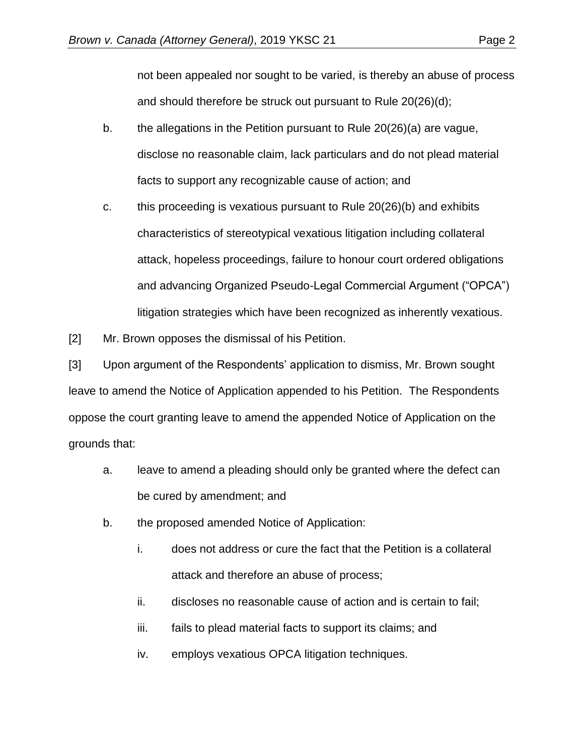not been appealed nor sought to be varied, is thereby an abuse of process and should therefore be struck out pursuant to Rule 20(26)(d);

- b. the allegations in the Petition pursuant to Rule 20(26)(a) are vague, disclose no reasonable claim, lack particulars and do not plead material facts to support any recognizable cause of action; and
- c. this proceeding is vexatious pursuant to Rule 20(26)(b) and exhibits characteristics of stereotypical vexatious litigation including collateral attack, hopeless proceedings, failure to honour court ordered obligations and advancing Organized Pseudo-Legal Commercial Argument ("OPCA") litigation strategies which have been recognized as inherently vexatious.

[2] Mr. Brown opposes the dismissal of his Petition.

[3] Upon argument of the Respondents' application to dismiss, Mr. Brown sought leave to amend the Notice of Application appended to his Petition. The Respondents oppose the court granting leave to amend the appended Notice of Application on the grounds that:

- a. leave to amend a pleading should only be granted where the defect can be cured by amendment; and
- b. the proposed amended Notice of Application:
	- i. does not address or cure the fact that the Petition is a collateral attack and therefore an abuse of process;
	- ii. discloses no reasonable cause of action and is certain to fail;
	- iii. fails to plead material facts to support its claims; and
	- iv. employs vexatious OPCA litigation techniques.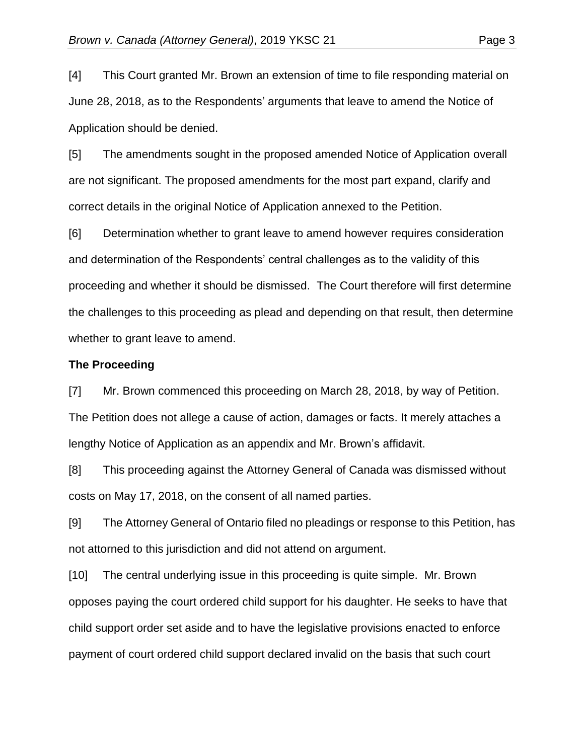[4] This Court granted Mr. Brown an extension of time to file responding material on June 28, 2018, as to the Respondents' arguments that leave to amend the Notice of Application should be denied.

[5] The amendments sought in the proposed amended Notice of Application overall are not significant. The proposed amendments for the most part expand, clarify and correct details in the original Notice of Application annexed to the Petition.

[6] Determination whether to grant leave to amend however requires consideration and determination of the Respondents' central challenges as to the validity of this proceeding and whether it should be dismissed. The Court therefore will first determine the challenges to this proceeding as plead and depending on that result, then determine whether to grant leave to amend.

#### **The Proceeding**

[7] Mr. Brown commenced this proceeding on March 28, 2018, by way of Petition. The Petition does not allege a cause of action, damages or facts. It merely attaches a lengthy Notice of Application as an appendix and Mr. Brown's affidavit.

[8] This proceeding against the Attorney General of Canada was dismissed without costs on May 17, 2018, on the consent of all named parties.

[9] The Attorney General of Ontario filed no pleadings or response to this Petition, has not attorned to this jurisdiction and did not attend on argument.

[10] The central underlying issue in this proceeding is quite simple. Mr. Brown opposes paying the court ordered child support for his daughter. He seeks to have that child support order set aside and to have the legislative provisions enacted to enforce payment of court ordered child support declared invalid on the basis that such court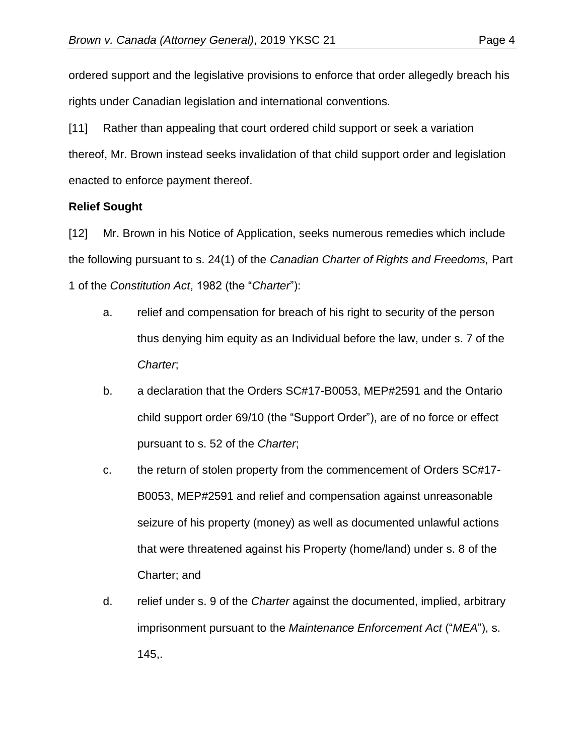ordered support and the legislative provisions to enforce that order allegedly breach his rights under Canadian legislation and international conventions.

[11] Rather than appealing that court ordered child support or seek a variation thereof, Mr. Brown instead seeks invalidation of that child support order and legislation enacted to enforce payment thereof.

## **Relief Sought**

[12] Mr. Brown in his Notice of Application, seeks numerous remedies which include the following pursuant to s. 24(1) of the *Canadian Charter of Rights and Freedoms,* Part 1 of the *Constitution Act*, 1982 (the "*Charter*"):

- a. relief and compensation for breach of his right to security of the person thus denying him equity as an Individual before the law, under s. 7 of the *Charter*;
- b. a declaration that the Orders SC#17-B0053, MEP#2591 and the Ontario child support order 69/10 (the "Support Order"), are of no force or effect pursuant to s. 52 of the *Charter*;
- c. the return of stolen property from the commencement of Orders SC#17- B0053, MEP#2591 and relief and compensation against unreasonable seizure of his property (money) as well as documented unlawful actions that were threatened against his Property (home/land) under s. 8 of the Charter; and
- d. relief under s. 9 of the *Charter* against the documented, implied, arbitrary imprisonment pursuant to the *Maintenance Enforcement Act* ("*MEA*"), s. 145,.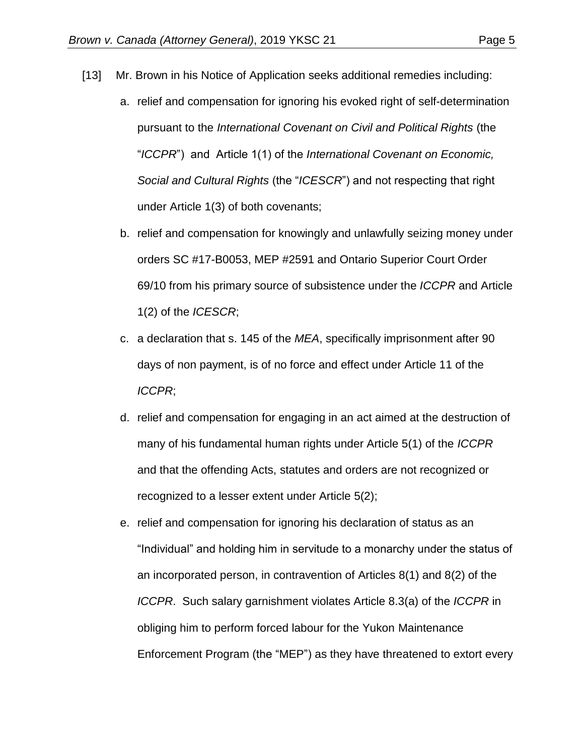- [13] Mr. Brown in his Notice of Application seeks additional remedies including:
	- a. relief and compensation for ignoring his evoked right of self-determination pursuant to the *International Covenant on Civil and Political Rights* (the "*ICCPR*") and Article 1(1) of the *International Covenant on Economic, Social and Cultural Rights* (the "*ICESCR*") and not respecting that right under Article 1(3) of both covenants;
	- b. relief and compensation for knowingly and unlawfully seizing money under orders SC #17-B0053, MEP #2591 and Ontario Superior Court Order 69/10 from his primary source of subsistence under the *ICCPR* and Article 1(2) of the *ICESCR*;
	- c. a declaration that s. 145 of the *MEA*, specifically imprisonment after 90 days of non payment, is of no force and effect under Article 11 of the *ICCPR*;
	- d. relief and compensation for engaging in an act aimed at the destruction of many of his fundamental human rights under Article 5(1) of the *ICCPR* and that the offending Acts, statutes and orders are not recognized or recognized to a lesser extent under Article 5(2);
	- e. relief and compensation for ignoring his declaration of status as an "Individual" and holding him in servitude to a monarchy under the status of an incorporated person, in contravention of Articles 8(1) and 8(2) of the *ICCPR*. Such salary garnishment violates Article 8.3(a) of the *ICCPR* in obliging him to perform forced labour for the Yukon Maintenance Enforcement Program (the "MEP") as they have threatened to extort every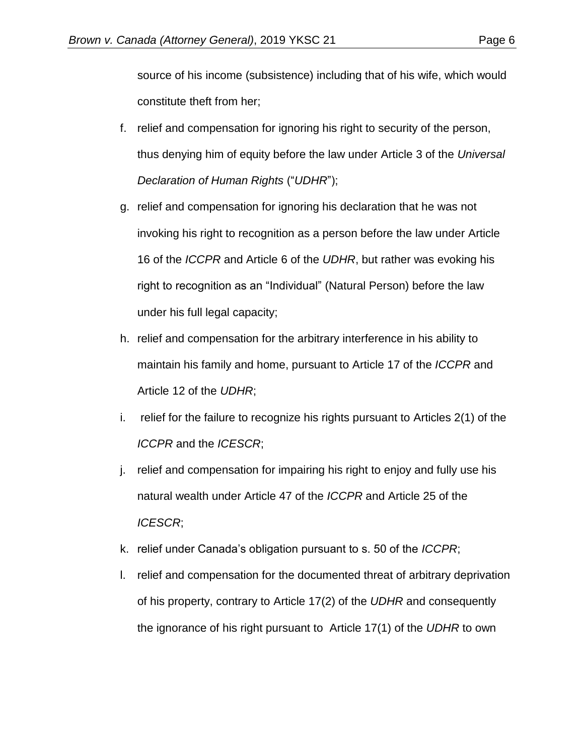source of his income (subsistence) including that of his wife, which would constitute theft from her;

- f. relief and compensation for ignoring his right to security of the person, thus denying him of equity before the law under Article 3 of the *Universal Declaration of Human Rights* ("*UDHR*");
- g. relief and compensation for ignoring his declaration that he was not invoking his right to recognition as a person before the law under Article 16 of the *ICCPR* and Article 6 of the *UDHR*, but rather was evoking his right to recognition as an "Individual" (Natural Person) before the law under his full legal capacity;
- h. relief and compensation for the arbitrary interference in his ability to maintain his family and home, pursuant to Article 17 of the *ICCPR* and Article 12 of the *UDHR*;
- i. relief for the failure to recognize his rights pursuant to Articles 2(1) of the *ICCPR* and the *ICESCR*;
- j. relief and compensation for impairing his right to enjoy and fully use his natural wealth under Article 47 of the *ICCPR* and Article 25 of the *ICESCR*;
- k. relief under Canada's obligation pursuant to s. 50 of the *ICCPR*;
- l. relief and compensation for the documented threat of arbitrary deprivation of his property, contrary to Article 17(2) of the *UDHR* and consequently the ignorance of his right pursuant to Article 17(1) of the *UDHR* to own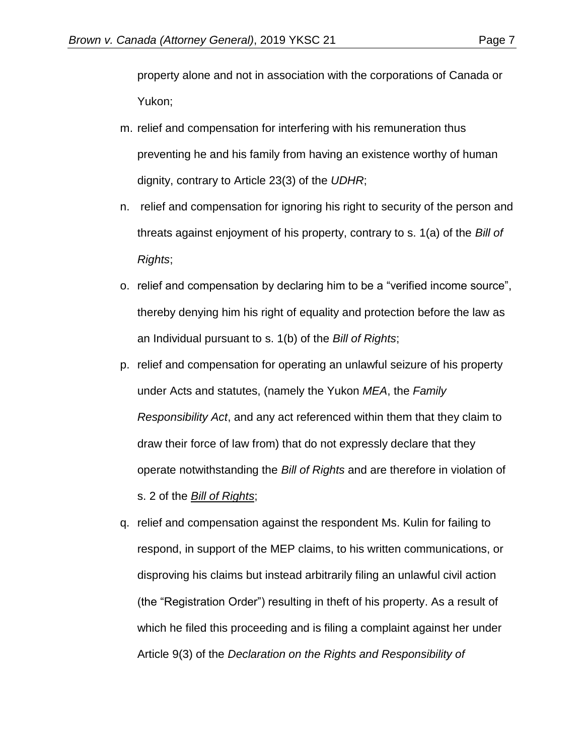property alone and not in association with the corporations of Canada or Yukon;

- m. relief and compensation for interfering with his remuneration thus preventing he and his family from having an existence worthy of human dignity, contrary to Article 23(3) of the *UDHR*;
- n. relief and compensation for ignoring his right to security of the person and threats against enjoyment of his property, contrary to s. 1(a) of the *Bill of Rights*;
- o. relief and compensation by declaring him to be a "verified income source", thereby denying him his right of equality and protection before the law as an Individual pursuant to s. 1(b) of the *Bill of Rights*;
- p. relief and compensation for operating an unlawful seizure of his property under Acts and statutes, (namely the Yukon *MEA*, the *Family Responsibility Act*, and any act referenced within them that they claim to draw their force of law from) that do not expressly declare that they operate notwithstanding the *Bill of Rights* and are therefore in violation of s. 2 of the *Bill of Rights*;
- q. relief and compensation against the respondent Ms. Kulin for failing to respond, in support of the MEP claims, to his written communications, or disproving his claims but instead arbitrarily filing an unlawful civil action (the "Registration Order") resulting in theft of his property. As a result of which he filed this proceeding and is filing a complaint against her under Article 9(3) of the *Declaration on the Rights and Responsibility of*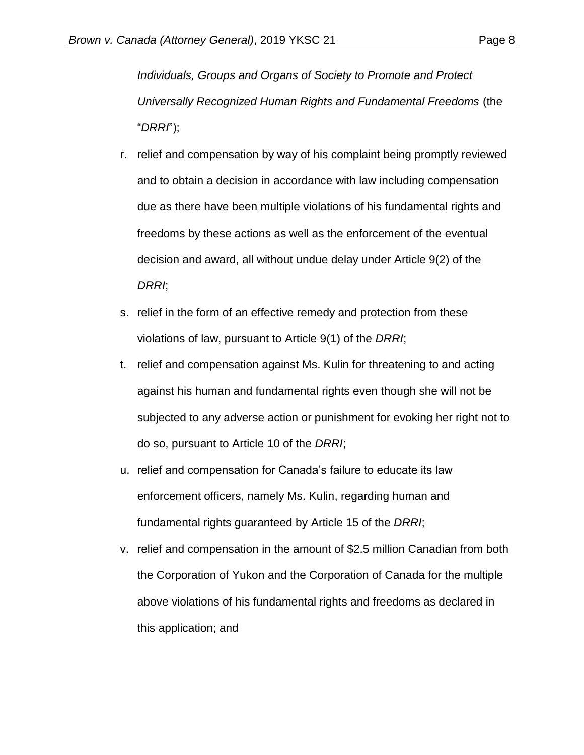*Individuals, Groups and Organs of Society to Promote and Protect Universally Recognized Human Rights and Fundamental Freedoms* (the "*DRRI*");

- r. relief and compensation by way of his complaint being promptly reviewed and to obtain a decision in accordance with law including compensation due as there have been multiple violations of his fundamental rights and freedoms by these actions as well as the enforcement of the eventual decision and award, all without undue delay under Article 9(2) of the *DRRI*;
- s. relief in the form of an effective remedy and protection from these violations of law, pursuant to Article 9(1) of the *DRRI*;
- t. relief and compensation against Ms. Kulin for threatening to and acting against his human and fundamental rights even though she will not be subjected to any adverse action or punishment for evoking her right not to do so, pursuant to Article 10 of the *DRRI*;
- u. relief and compensation for Canada's failure to educate its law enforcement officers, namely Ms. Kulin, regarding human and fundamental rights guaranteed by Article 15 of the *DRRI*;
- v. relief and compensation in the amount of \$2.5 million Canadian from both the Corporation of Yukon and the Corporation of Canada for the multiple above violations of his fundamental rights and freedoms as declared in this application; and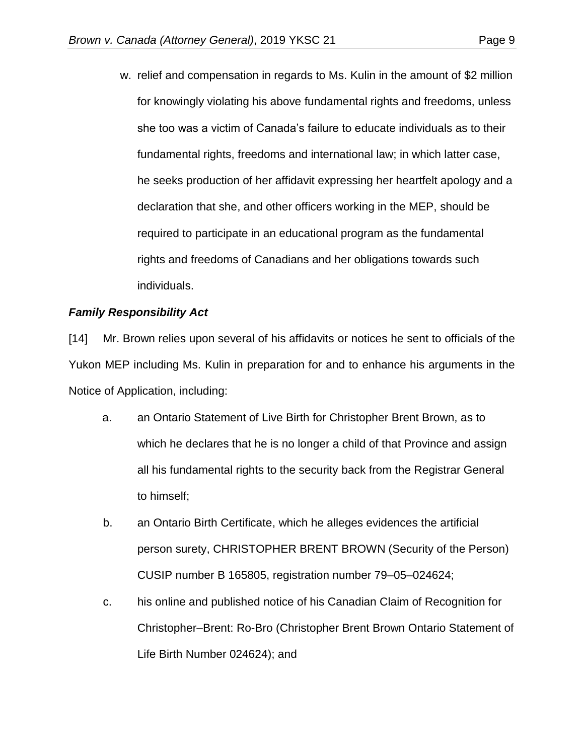w. relief and compensation in regards to Ms. Kulin in the amount of \$2 million for knowingly violating his above fundamental rights and freedoms, unless she too was a victim of Canada's failure to educate individuals as to their fundamental rights, freedoms and international law; in which latter case, he seeks production of her affidavit expressing her heartfelt apology and a declaration that she, and other officers working in the MEP, should be required to participate in an educational program as the fundamental rights and freedoms of Canadians and her obligations towards such individuals.

## *Family Responsibility Act*

[14] Mr. Brown relies upon several of his affidavits or notices he sent to officials of the Yukon MEP including Ms. Kulin in preparation for and to enhance his arguments in the Notice of Application, including:

- a. an Ontario Statement of Live Birth for Christopher Brent Brown, as to which he declares that he is no longer a child of that Province and assign all his fundamental rights to the security back from the Registrar General to himself;
- b. an Ontario Birth Certificate, which he alleges evidences the artificial person surety, CHRISTOPHER BRENT BROWN (Security of the Person) CUSIP number B 165805, registration number 79–05–024624;
- c. his online and published notice of his Canadian Claim of Recognition for Christopher–Brent: Ro-Bro (Christopher Brent Brown Ontario Statement of Life Birth Number 024624); and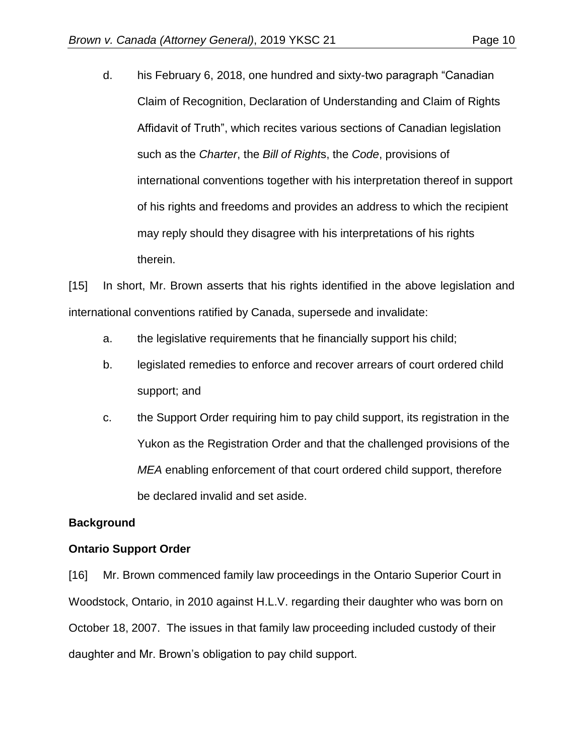d. his February 6, 2018, one hundred and sixty-two paragraph "Canadian Claim of Recognition, Declaration of Understanding and Claim of Rights Affidavit of Truth", which recites various sections of Canadian legislation such as the *Charter*, the *Bill of Right*s, the *Code*, provisions of international conventions together with his interpretation thereof in support of his rights and freedoms and provides an address to which the recipient may reply should they disagree with his interpretations of his rights therein.

[15] In short, Mr. Brown asserts that his rights identified in the above legislation and international conventions ratified by Canada, supersede and invalidate:

- a. the legislative requirements that he financially support his child;
- b. legislated remedies to enforce and recover arrears of court ordered child support; and
- c. the Support Order requiring him to pay child support, its registration in the Yukon as the Registration Order and that the challenged provisions of the *MEA* enabling enforcement of that court ordered child support, therefore be declared invalid and set aside.

## **Background**

## **Ontario Support Order**

[16] Mr. Brown commenced family law proceedings in the Ontario Superior Court in Woodstock, Ontario, in 2010 against H.L.V. regarding their daughter who was born on October 18, 2007. The issues in that family law proceeding included custody of their daughter and Mr. Brown's obligation to pay child support.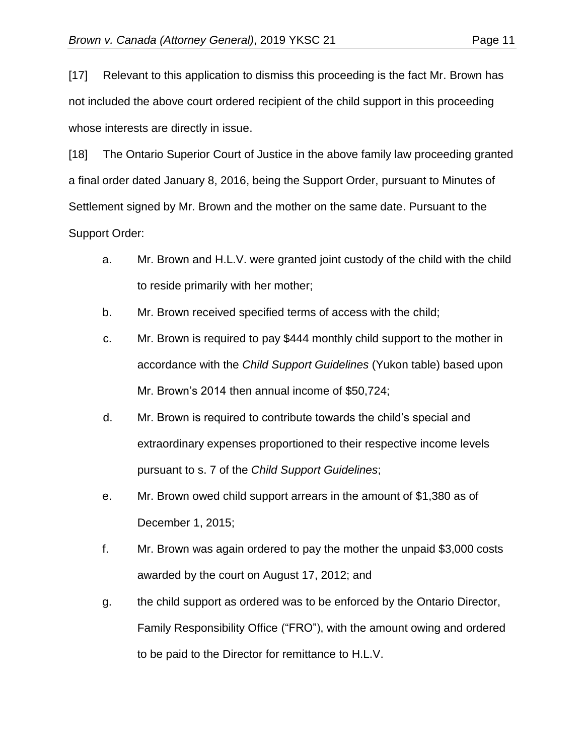[17] Relevant to this application to dismiss this proceeding is the fact Mr. Brown has not included the above court ordered recipient of the child support in this proceeding whose interests are directly in issue.

[18] The Ontario Superior Court of Justice in the above family law proceeding granted a final order dated January 8, 2016, being the Support Order, pursuant to Minutes of Settlement signed by Mr. Brown and the mother on the same date. Pursuant to the Support Order:

- a. Mr. Brown and H.L.V. were granted joint custody of the child with the child to reside primarily with her mother;
- b. Mr. Brown received specified terms of access with the child;
- c. Mr. Brown is required to pay \$444 monthly child support to the mother in accordance with the *Child Support Guidelines* (Yukon table) based upon Mr. Brown's 2014 then annual income of \$50,724;
- d. Mr. Brown is required to contribute towards the child's special and extraordinary expenses proportioned to their respective income levels pursuant to s. 7 of the *Child Support Guidelines*;
- e. Mr. Brown owed child support arrears in the amount of \$1,380 as of December 1, 2015;
- f. Mr. Brown was again ordered to pay the mother the unpaid \$3,000 costs awarded by the court on August 17, 2012; and
- g. the child support as ordered was to be enforced by the Ontario Director, Family Responsibility Office ("FRO"), with the amount owing and ordered to be paid to the Director for remittance to H.L.V.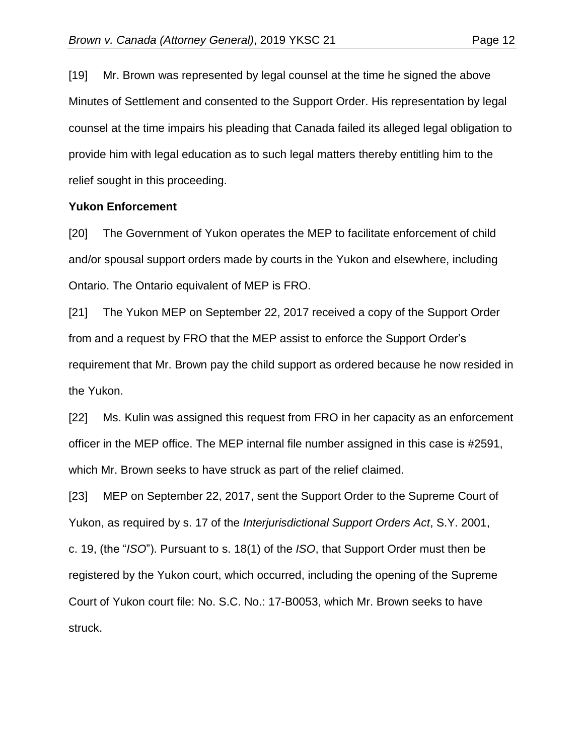[19] Mr. Brown was represented by legal counsel at the time he signed the above Minutes of Settlement and consented to the Support Order. His representation by legal counsel at the time impairs his pleading that Canada failed its alleged legal obligation to provide him with legal education as to such legal matters thereby entitling him to the relief sought in this proceeding.

#### **Yukon Enforcement**

[20] The Government of Yukon operates the MEP to facilitate enforcement of child and/or spousal support orders made by courts in the Yukon and elsewhere, including Ontario. The Ontario equivalent of MEP is FRO.

[21] The Yukon MEP on September 22, 2017 received a copy of the Support Order from and a request by FRO that the MEP assist to enforce the Support Order's requirement that Mr. Brown pay the child support as ordered because he now resided in the Yukon.

[22] Ms. Kulin was assigned this request from FRO in her capacity as an enforcement officer in the MEP office. The MEP internal file number assigned in this case is #2591, which Mr. Brown seeks to have struck as part of the relief claimed.

[23] MEP on September 22, 2017, sent the Support Order to the Supreme Court of Yukon, as required by s. 17 of the *Interjurisdictional Support Orders Act*, S.Y. 2001, c. 19, (the "*ISO*"). Pursuant to s. 18(1) of the *ISO*, that Support Order must then be registered by the Yukon court, which occurred, including the opening of the Supreme Court of Yukon court file: No. S.C. No.: 17-B0053, which Mr. Brown seeks to have struck.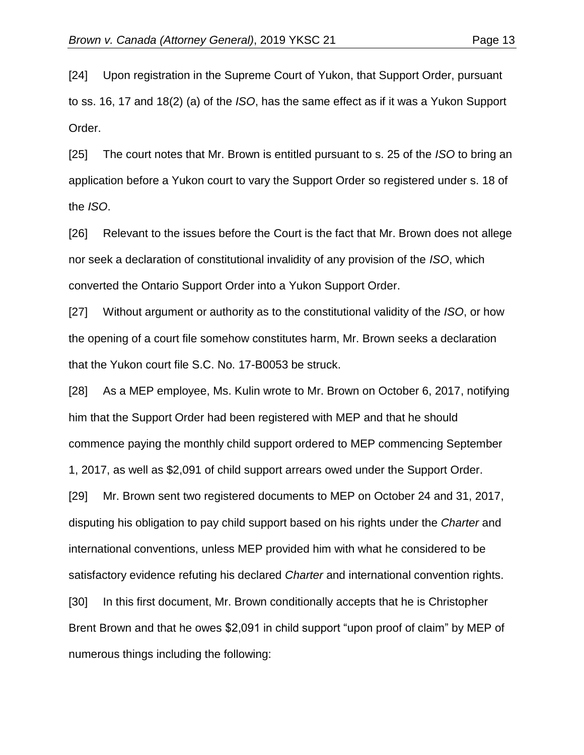[24] Upon registration in the Supreme Court of Yukon, that Support Order, pursuant to ss. 16, 17 and 18(2) (a) of the *ISO*, has the same effect as if it was a Yukon Support Order.

[25] The court notes that Mr. Brown is entitled pursuant to s. 25 of the *ISO* to bring an application before a Yukon court to vary the Support Order so registered under s. 18 of the *ISO*.

[26] Relevant to the issues before the Court is the fact that Mr. Brown does not allege nor seek a declaration of constitutional invalidity of any provision of the *ISO*, which converted the Ontario Support Order into a Yukon Support Order.

[27] Without argument or authority as to the constitutional validity of the *ISO*, or how the opening of a court file somehow constitutes harm, Mr. Brown seeks a declaration that the Yukon court file S.C. No. 17-B0053 be struck.

[28] As a MEP employee, Ms. Kulin wrote to Mr. Brown on October 6, 2017, notifying him that the Support Order had been registered with MEP and that he should commence paying the monthly child support ordered to MEP commencing September 1, 2017, as well as \$2,091 of child support arrears owed under the Support Order.

[29] Mr. Brown sent two registered documents to MEP on October 24 and 31, 2017, disputing his obligation to pay child support based on his rights under the *Charter* and international conventions, unless MEP provided him with what he considered to be satisfactory evidence refuting his declared *Charter* and international convention rights. [30] In this first document, Mr. Brown conditionally accepts that he is Christopher Brent Brown and that he owes \$2,091 in child support "upon proof of claim" by MEP of

numerous things including the following: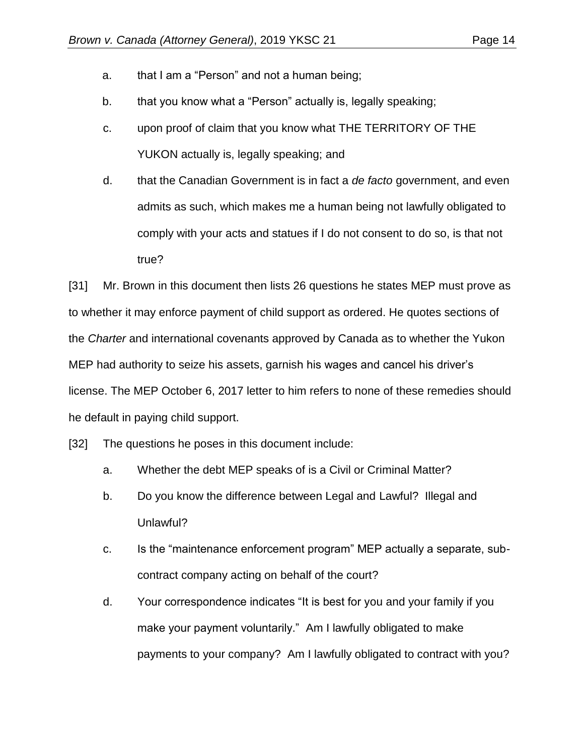- a. that I am a "Person" and not a human being;
- b. that you know what a "Person" actually is, legally speaking;
- c. upon proof of claim that you know what THE TERRITORY OF THE YUKON actually is, legally speaking; and
- d. that the Canadian Government is in fact a *de facto* government, and even admits as such, which makes me a human being not lawfully obligated to comply with your acts and statues if I do not consent to do so, is that not true?

[31] Mr. Brown in this document then lists 26 questions he states MEP must prove as to whether it may enforce payment of child support as ordered. He quotes sections of the *Charter* and international covenants approved by Canada as to whether the Yukon MEP had authority to seize his assets, garnish his wages and cancel his driver's license. The MEP October 6, 2017 letter to him refers to none of these remedies should he default in paying child support.

[32] The questions he poses in this document include:

- a. Whether the debt MEP speaks of is a Civil or Criminal Matter?
- b. Do you know the difference between Legal and Lawful? Illegal and Unlawful?
- c. Is the "maintenance enforcement program" MEP actually a separate, subcontract company acting on behalf of the court?
- d. Your correspondence indicates "It is best for you and your family if you make your payment voluntarily." Am I lawfully obligated to make payments to your company? Am I lawfully obligated to contract with you?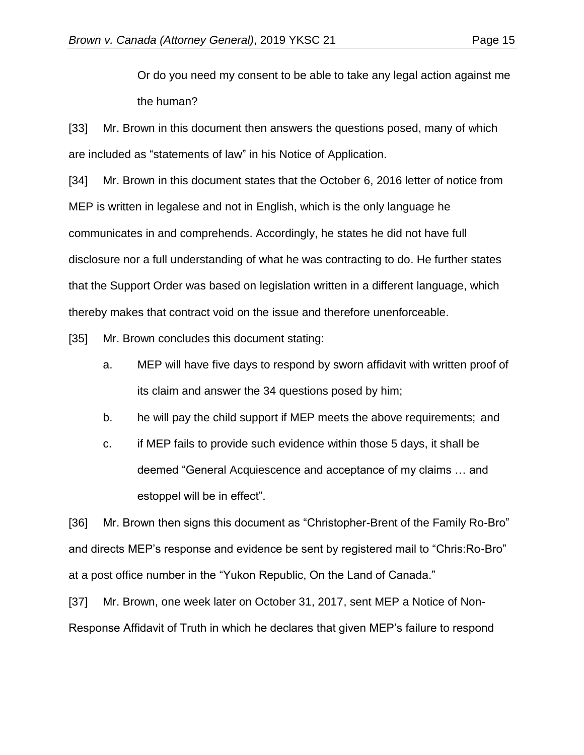Or do you need my consent to be able to take any legal action against me the human?

[33] Mr. Brown in this document then answers the questions posed, many of which are included as "statements of law" in his Notice of Application.

[34] Mr. Brown in this document states that the October 6, 2016 letter of notice from MEP is written in legalese and not in English, which is the only language he communicates in and comprehends. Accordingly, he states he did not have full disclosure nor a full understanding of what he was contracting to do. He further states that the Support Order was based on legislation written in a different language, which thereby makes that contract void on the issue and therefore unenforceable.

[35] Mr. Brown concludes this document stating:

- a. MEP will have five days to respond by sworn affidavit with written proof of its claim and answer the 34 questions posed by him;
- b. he will pay the child support if MEP meets the above requirements; and
- c. if MEP fails to provide such evidence within those 5 days, it shall be deemed "General Acquiescence and acceptance of my claims … and estoppel will be in effect".

[36] Mr. Brown then signs this document as "Christopher-Brent of the Family Ro-Bro" and directs MEP's response and evidence be sent by registered mail to "Chris:Ro-Bro" at a post office number in the "Yukon Republic, On the Land of Canada."

[37] Mr. Brown, one week later on October 31, 2017, sent MEP a Notice of Non-Response Affidavit of Truth in which he declares that given MEP's failure to respond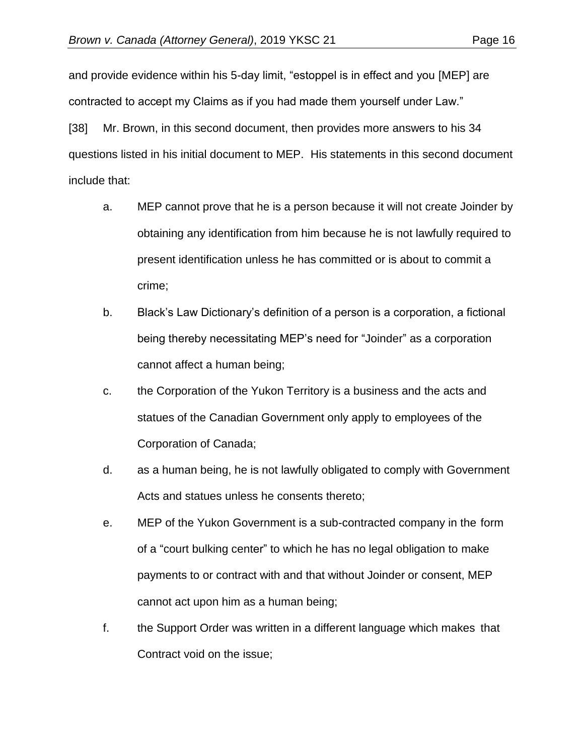and provide evidence within his 5-day limit, "estoppel is in effect and you [MEP] are contracted to accept my Claims as if you had made them yourself under Law."

[38] Mr. Brown, in this second document, then provides more answers to his 34 questions listed in his initial document to MEP. His statements in this second document include that:

- a. MEP cannot prove that he is a person because it will not create Joinder by obtaining any identification from him because he is not lawfully required to present identification unless he has committed or is about to commit a crime;
- b. Black's Law Dictionary's definition of a person is a corporation, a fictional being thereby necessitating MEP's need for "Joinder" as a corporation cannot affect a human being;
- c. the Corporation of the Yukon Territory is a business and the acts and statues of the Canadian Government only apply to employees of the Corporation of Canada;
- d. as a human being, he is not lawfully obligated to comply with Government Acts and statues unless he consents thereto;
- e. MEP of the Yukon Government is a sub-contracted company in the form of a "court bulking center" to which he has no legal obligation to make payments to or contract with and that without Joinder or consent, MEP cannot act upon him as a human being;
- f. the Support Order was written in a different language which makes that Contract void on the issue;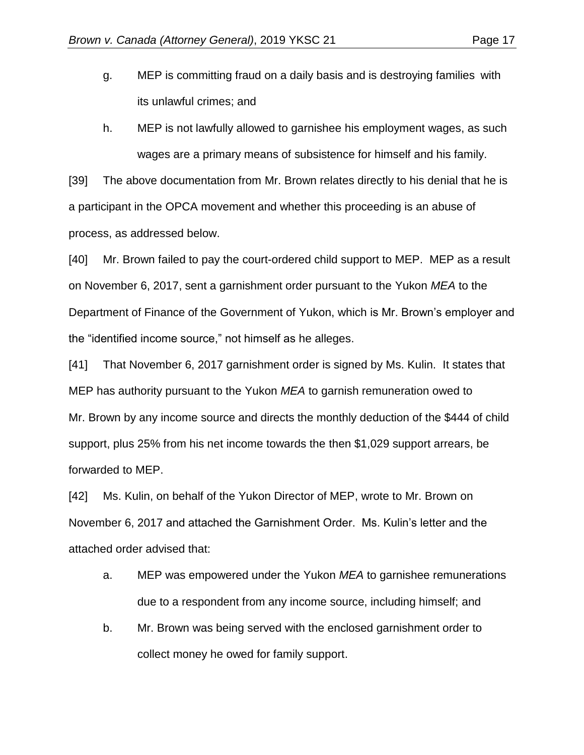- g. MEP is committing fraud on a daily basis and is destroying families with its unlawful crimes; and
- h. MEP is not lawfully allowed to garnishee his employment wages, as such wages are a primary means of subsistence for himself and his family.

[39] The above documentation from Mr. Brown relates directly to his denial that he is a participant in the OPCA movement and whether this proceeding is an abuse of process, as addressed below.

[40] Mr. Brown failed to pay the court-ordered child support to MEP. MEP as a result on November 6, 2017, sent a garnishment order pursuant to the Yukon *MEA* to the Department of Finance of the Government of Yukon, which is Mr. Brown's employer and the "identified income source," not himself as he alleges.

[41] That November 6, 2017 garnishment order is signed by Ms. Kulin. It states that MEP has authority pursuant to the Yukon *MEA* to garnish remuneration owed to Mr. Brown by any income source and directs the monthly deduction of the \$444 of child support, plus 25% from his net income towards the then \$1,029 support arrears, be forwarded to MEP.

[42] Ms. Kulin, on behalf of the Yukon Director of MEP, wrote to Mr. Brown on November 6, 2017 and attached the Garnishment Order. Ms. Kulin's letter and the attached order advised that:

- a. MEP was empowered under the Yukon *MEA* to garnishee remunerations due to a respondent from any income source, including himself; and
- b. Mr. Brown was being served with the enclosed garnishment order to collect money he owed for family support.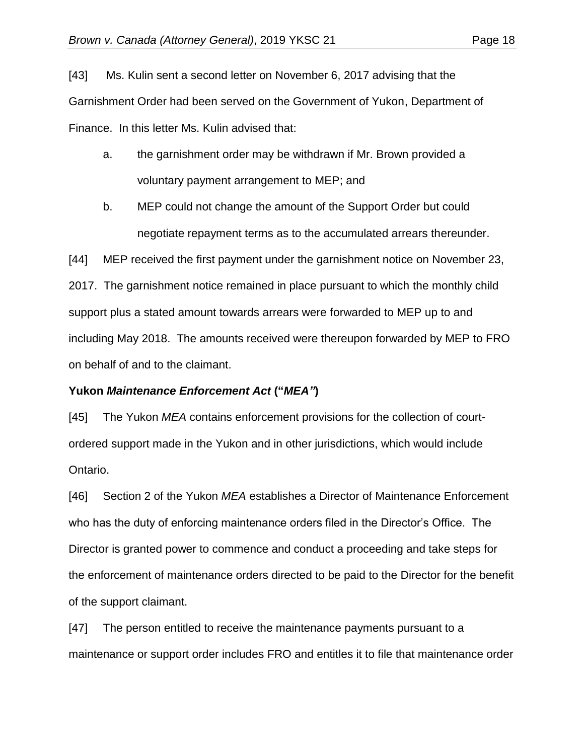[43] Ms. Kulin sent a second letter on November 6, 2017 advising that the Garnishment Order had been served on the Government of Yukon, Department of Finance. In this letter Ms. Kulin advised that:

- a. the garnishment order may be withdrawn if Mr. Brown provided a voluntary payment arrangement to MEP; and
- b. MEP could not change the amount of the Support Order but could negotiate repayment terms as to the accumulated arrears thereunder.

[44] MEP received the first payment under the garnishment notice on November 23, 2017. The garnishment notice remained in place pursuant to which the monthly child support plus a stated amount towards arrears were forwarded to MEP up to and including May 2018. The amounts received were thereupon forwarded by MEP to FRO on behalf of and to the claimant.

## **Yukon** *Maintenance Enforcement Act* **("***MEA"***)**

[45] The Yukon *MEA* contains enforcement provisions for the collection of courtordered support made in the Yukon and in other jurisdictions, which would include Ontario.

[46] Section 2 of the Yukon *MEA* establishes a Director of Maintenance Enforcement who has the duty of enforcing maintenance orders filed in the Director's Office. The Director is granted power to commence and conduct a proceeding and take steps for the enforcement of maintenance orders directed to be paid to the Director for the benefit of the support claimant.

[47] The person entitled to receive the maintenance payments pursuant to a maintenance or support order includes FRO and entitles it to file that maintenance order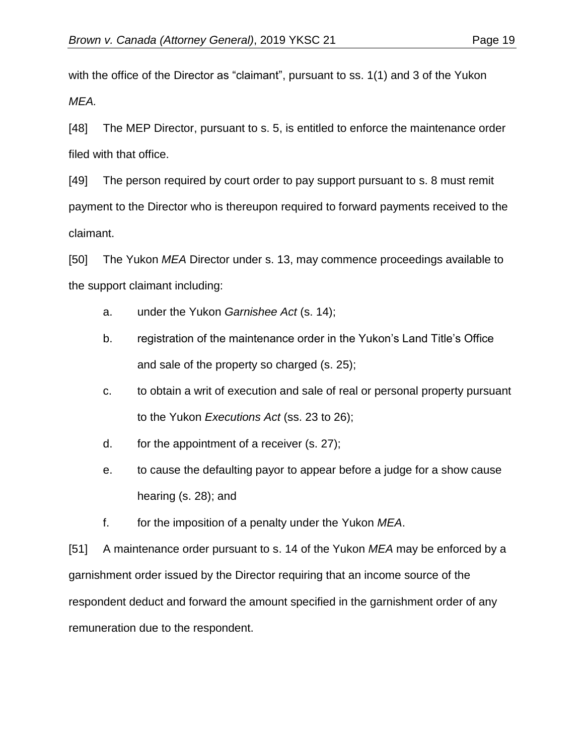with the office of the Director as "claimant", pursuant to ss. 1(1) and 3 of the Yukon *MEA.*

[48] The MEP Director, pursuant to s. 5, is entitled to enforce the maintenance order filed with that office.

[49] The person required by court order to pay support pursuant to s. 8 must remit payment to the Director who is thereupon required to forward payments received to the claimant.

[50] The Yukon *MEA* Director under s. 13, may commence proceedings available to the support claimant including:

- a. under the Yukon *Garnishee Act* (s. 14);
- b. registration of the maintenance order in the Yukon's Land Title's Office and sale of the property so charged (s. 25);
- c. to obtain a writ of execution and sale of real or personal property pursuant to the Yukon *Executions Act* (ss. 23 to 26);
- d. for the appointment of a receiver (s. 27);
- e. to cause the defaulting payor to appear before a judge for a show cause hearing (s. 28); and
- f. for the imposition of a penalty under the Yukon *MEA*.

[51] A maintenance order pursuant to s. 14 of the Yukon *MEA* may be enforced by a garnishment order issued by the Director requiring that an income source of the respondent deduct and forward the amount specified in the garnishment order of any remuneration due to the respondent.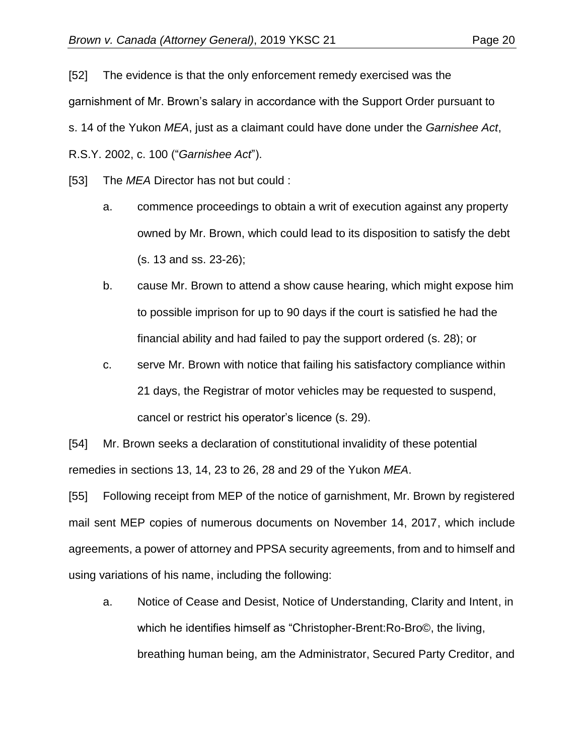[52] The evidence is that the only enforcement remedy exercised was the garnishment of Mr. Brown's salary in accordance with the Support Order pursuant to s. 14 of the Yukon *MEA*, just as a claimant could have done under the *Garnishee Act*, R.S.Y. 2002, c. 100 ("*Garnishee Act*").

[53] The *MEA* Director has not but could :

- a. commence proceedings to obtain a writ of execution against any property owned by Mr. Brown, which could lead to its disposition to satisfy the debt (s. 13 and ss. 23-26);
- b. cause Mr. Brown to attend a show cause hearing, which might expose him to possible imprison for up to 90 days if the court is satisfied he had the financial ability and had failed to pay the support ordered (s. 28); or
- c. serve Mr. Brown with notice that failing his satisfactory compliance within 21 days, the Registrar of motor vehicles may be requested to suspend, cancel or restrict his operator's licence (s. 29).

[54] Mr. Brown seeks a declaration of constitutional invalidity of these potential remedies in sections 13, 14, 23 to 26, 28 and 29 of the Yukon *MEA*.

[55] Following receipt from MEP of the notice of garnishment, Mr. Brown by registered mail sent MEP copies of numerous documents on November 14, 2017, which include agreements, a power of attorney and PPSA security agreements, from and to himself and using variations of his name, including the following:

a. Notice of Cease and Desist, Notice of Understanding, Clarity and Intent, in which he identifies himself as "Christopher-Brent:Ro-Bro©, the living, breathing human being, am the Administrator, Secured Party Creditor, and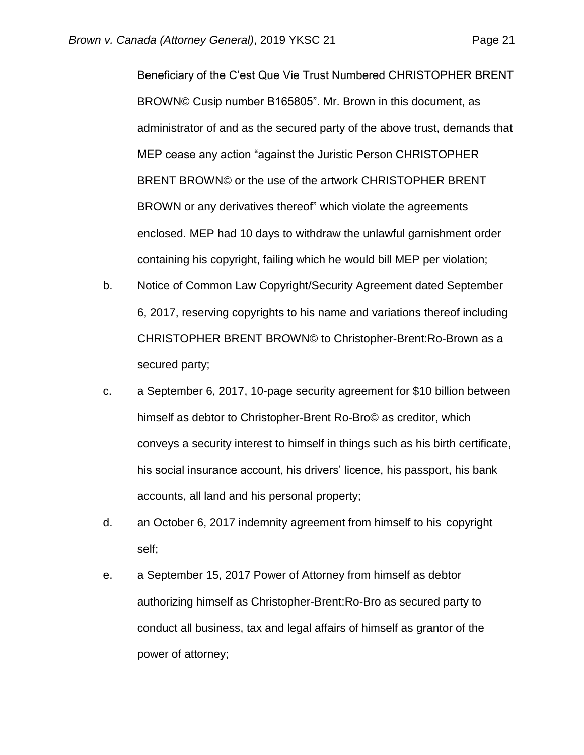Beneficiary of the C'est Que Vie Trust Numbered CHRISTOPHER BRENT BROWN© Cusip number B165805". Mr. Brown in this document, as administrator of and as the secured party of the above trust, demands that MEP cease any action "against the Juristic Person CHRISTOPHER BRENT BROWN© or the use of the artwork CHRISTOPHER BRENT BROWN or any derivatives thereof" which violate the agreements enclosed. MEP had 10 days to withdraw the unlawful garnishment order containing his copyright, failing which he would bill MEP per violation;

- b. Notice of Common Law Copyright/Security Agreement dated September 6, 2017, reserving copyrights to his name and variations thereof including CHRISTOPHER BRENT BROWN© to Christopher-Brent:Ro-Brown as a secured party;
- c. a September 6, 2017, 10-page security agreement for \$10 billion between himself as debtor to Christopher-Brent Ro-Bro© as creditor, which conveys a security interest to himself in things such as his birth certificate, his social insurance account, his drivers' licence, his passport, his bank accounts, all land and his personal property;
- d. an October 6, 2017 indemnity agreement from himself to his copyright self;
- e. a September 15, 2017 Power of Attorney from himself as debtor authorizing himself as Christopher-Brent:Ro-Bro as secured party to conduct all business, tax and legal affairs of himself as grantor of the power of attorney;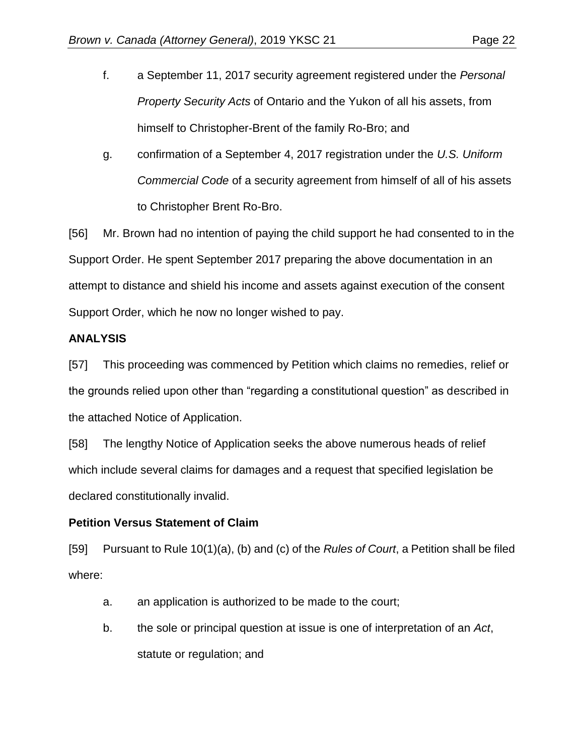- f. a September 11, 2017 security agreement registered under the *Personal Property Security Acts* of Ontario and the Yukon of all his assets, from himself to Christopher-Brent of the family Ro-Bro; and
- g. confirmation of a September 4, 2017 registration under the *U.S. Uniform Commercial Code* of a security agreement from himself of all of his assets to Christopher Brent Ro-Bro.

[56] Mr. Brown had no intention of paying the child support he had consented to in the Support Order. He spent September 2017 preparing the above documentation in an attempt to distance and shield his income and assets against execution of the consent Support Order, which he now no longer wished to pay.

### **ANALYSIS**

[57] This proceeding was commenced by Petition which claims no remedies, relief or the grounds relied upon other than "regarding a constitutional question" as described in the attached Notice of Application.

[58] The lengthy Notice of Application seeks the above numerous heads of relief which include several claims for damages and a request that specified legislation be declared constitutionally invalid.

## **Petition Versus Statement of Claim**

[59] Pursuant to Rule 10(1)(a), (b) and (c) of the *Rules of Court*, a Petition shall be filed where:

- a. an application is authorized to be made to the court;
- b. the sole or principal question at issue is one of interpretation of an *Act*, statute or regulation; and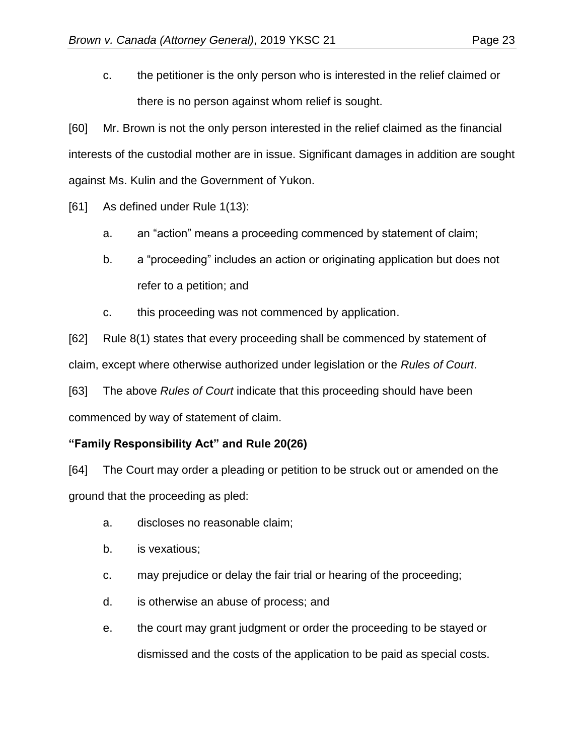c. the petitioner is the only person who is interested in the relief claimed or there is no person against whom relief is sought.

[60] Mr. Brown is not the only person interested in the relief claimed as the financial interests of the custodial mother are in issue. Significant damages in addition are sought against Ms. Kulin and the Government of Yukon.

[61] As defined under Rule 1(13):

- a. an "action" means a proceeding commenced by statement of claim;
- b. a "proceeding" includes an action or originating application but does not refer to a petition; and
- c. this proceeding was not commenced by application.

[62] Rule 8(1) states that every proceeding shall be commenced by statement of claim, except where otherwise authorized under legislation or the *Rules of Court*.

[63] The above *Rules of Court* indicate that this proceeding should have been commenced by way of statement of claim.

# **"Family Responsibility Act" and Rule 20(26)**

[64] The Court may order a pleading or petition to be struck out or amended on the ground that the proceeding as pled:

- a. discloses no reasonable claim;
- b. is vexatious;
- c. may prejudice or delay the fair trial or hearing of the proceeding;
- d. is otherwise an abuse of process; and
- e. the court may grant judgment or order the proceeding to be stayed or dismissed and the costs of the application to be paid as special costs.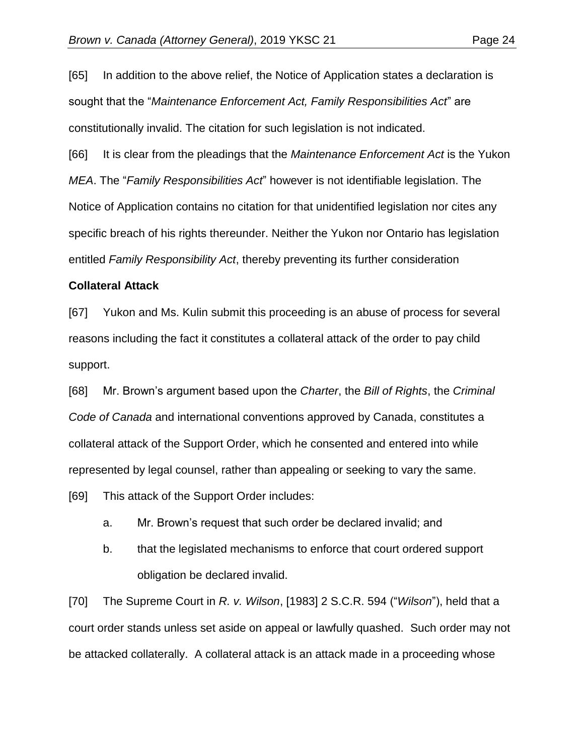[65] In addition to the above relief, the Notice of Application states a declaration is sought that the "*Maintenance Enforcement Act, Family Responsibilities Act*" are constitutionally invalid. The citation for such legislation is not indicated.

[66] It is clear from the pleadings that the *Maintenance Enforcement Act* is the Yukon *MEA*. The "*Family Responsibilities Act*" however is not identifiable legislation. The Notice of Application contains no citation for that unidentified legislation nor cites any specific breach of his rights thereunder. Neither the Yukon nor Ontario has legislation entitled *Family Responsibility Act*, thereby preventing its further consideration

#### **Collateral Attack**

[67] Yukon and Ms. Kulin submit this proceeding is an abuse of process for several reasons including the fact it constitutes a collateral attack of the order to pay child support.

[68] Mr. Brown's argument based upon the *Charter*, the *Bill of Rights*, the *Criminal Code of Canada* and international conventions approved by Canada, constitutes a collateral attack of the Support Order, which he consented and entered into while represented by legal counsel, rather than appealing or seeking to vary the same.

[69] This attack of the Support Order includes:

a. Mr. Brown's request that such order be declared invalid; and

b. that the legislated mechanisms to enforce that court ordered support obligation be declared invalid.

[70] The Supreme Court in *R. v. Wilson*, [1983] 2 S.C.R. 594 ("*Wilson*"), held that a court order stands unless set aside on appeal or lawfully quashed. Such order may not be attacked collaterally. A collateral attack is an attack made in a proceeding whose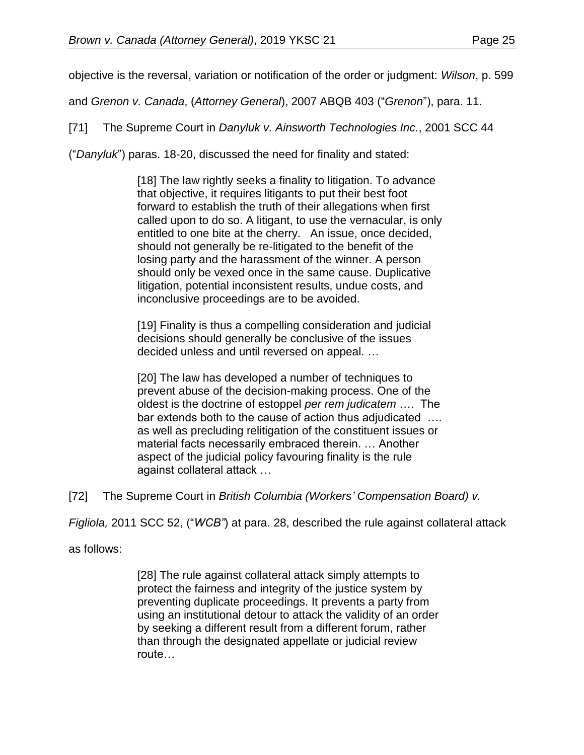objective is the reversal, variation or notification of the order or judgment: *Wilson*, p. 599

and *Grenon v. Canada*, (*Attorney General*), 2007 ABQB 403 ("*Grenon*"), para. 11.

[71] The Supreme Court in *Danyluk v. Ainsworth Technologies Inc.*, 2001 SCC 44

("*Danyluk*") paras. 18-20, discussed the need for finality and stated:

[18] The law rightly seeks a finality to litigation. To advance that objective, it requires litigants to put their best foot forward to establish the truth of their allegations when first called upon to do so. A litigant, to use the vernacular, is only entitled to one bite at the cherry. An issue, once decided, should not generally be re-litigated to the benefit of the losing party and the harassment of the winner. A person should only be vexed once in the same cause. Duplicative litigation, potential inconsistent results, undue costs, and inconclusive proceedings are to be avoided.

[19] Finality is thus a compelling consideration and judicial decisions should generally be conclusive of the issues decided unless and until reversed on appeal. …

[20] The law has developed a number of techniques to prevent abuse of the decision-making process. One of the oldest is the doctrine of estoppel *per rem judicatem* …. The bar extends both to the cause of action thus adjudicated …. as well as precluding relitigation of the constituent issues or material facts necessarily embraced therein. … Another aspect of the judicial policy favouring finality is the rule against collateral attack …

[72] The Supreme Court in *British Columbia (Workers' Compensation Board) v.*

*Figliola,* 2011 SCC 52, ("*WCB"*) at para. 28, described the rule against collateral attack

as follows:

[28] The rule against collateral attack simply attempts to protect the fairness and integrity of the justice system by preventing duplicate proceedings. It prevents a party from using an institutional detour to attack the validity of an order by seeking a different result from a different forum, rather than through the designated appellate or judicial review route…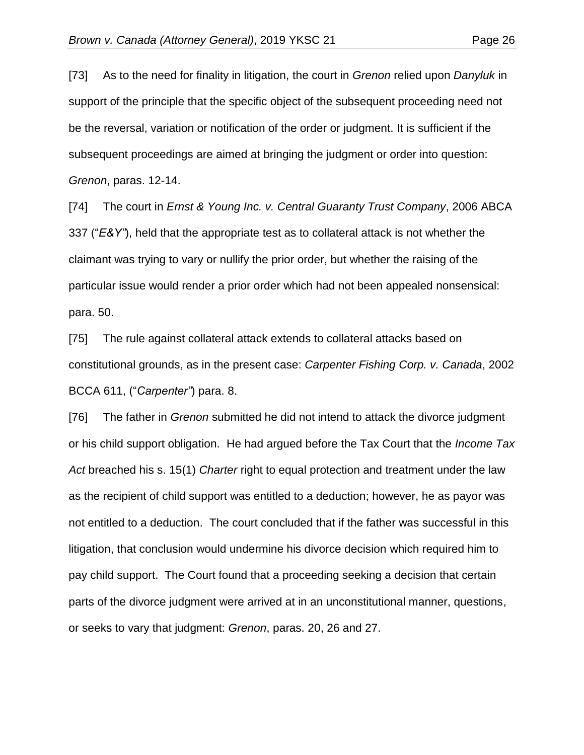[73] As to the need for finality in litigation, the court in *Grenon* relied upon *Danyluk* in support of the principle that the specific object of the subsequent proceeding need not be the reversal, variation or notification of the order or judgment. It is sufficient if the subsequent proceedings are aimed at bringing the judgment or order into question: *Grenon*, paras. 12-14.

[74] The court in *Ernst & Young Inc. v. Central Guaranty Trust Company*, 2006 ABCA 337 ("*E&Y"*), held that the appropriate test as to collateral attack is not whether the claimant was trying to vary or nullify the prior order, but whether the raising of the particular issue would render a prior order which had not been appealed nonsensical: para. 50.

[75] The rule against collateral attack extends to collateral attacks based on constitutional grounds, as in the present case: *Carpenter Fishing Corp. v. Canada*, 2002 BCCA 611, ("*Carpenter"*) para. 8.

[76] The father in *Grenon* submitted he did not intend to attack the divorce judgment or his child support obligation. He had argued before the Tax Court that the *Income Tax Act* breached his s. 15(1) *Charter* right to equal protection and treatment under the law as the recipient of child support was entitled to a deduction; however, he as payor was not entitled to a deduction. The court concluded that if the father was successful in this litigation, that conclusion would undermine his divorce decision which required him to pay child support. The Court found that a proceeding seeking a decision that certain parts of the divorce judgment were arrived at in an unconstitutional manner, questions, or seeks to vary that judgment: *Grenon*, paras. 20, 26 and 27.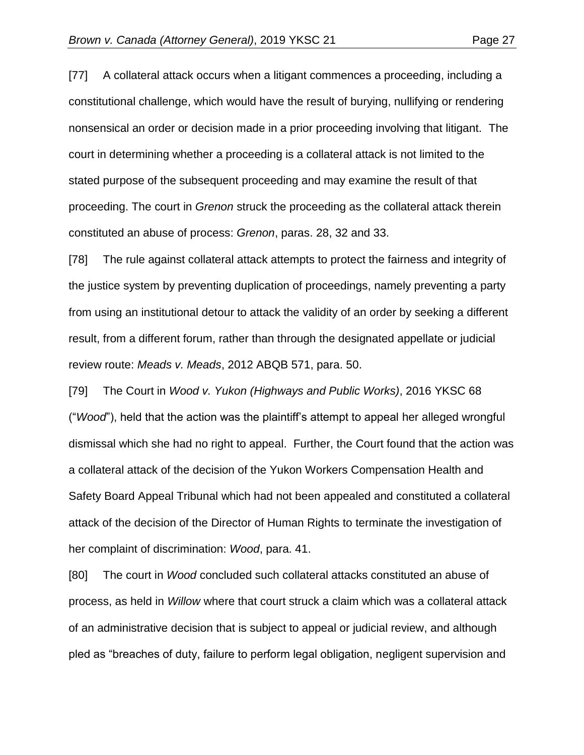[77] A collateral attack occurs when a litigant commences a proceeding, including a constitutional challenge, which would have the result of burying, nullifying or rendering nonsensical an order or decision made in a prior proceeding involving that litigant. The court in determining whether a proceeding is a collateral attack is not limited to the stated purpose of the subsequent proceeding and may examine the result of that proceeding. The court in *Grenon* struck the proceeding as the collateral attack therein constituted an abuse of process: *Grenon*, paras. 28, 32 and 33.

[78] The rule against collateral attack attempts to protect the fairness and integrity of the justice system by preventing duplication of proceedings, namely preventing a party from using an institutional detour to attack the validity of an order by seeking a different result, from a different forum, rather than through the designated appellate or judicial review route: *Meads v. Meads*, 2012 ABQB 571, para. 50.

[79] The Court in *Wood v. Yukon (Highways and Public Works)*, 2016 YKSC 68 ("*Wood*"), held that the action was the plaintiff's attempt to appeal her alleged wrongful dismissal which she had no right to appeal. Further, the Court found that the action was a collateral attack of the decision of the Yukon Workers Compensation Health and Safety Board Appeal Tribunal which had not been appealed and constituted a collateral attack of the decision of the Director of Human Rights to terminate the investigation of her complaint of discrimination: *Wood*, para. 41.

[80] The court in *Wood* concluded such collateral attacks constituted an abuse of process, as held in *Willow* where that court struck a claim which was a collateral attack of an administrative decision that is subject to appeal or judicial review, and although pled as "breaches of duty, failure to perform legal obligation, negligent supervision and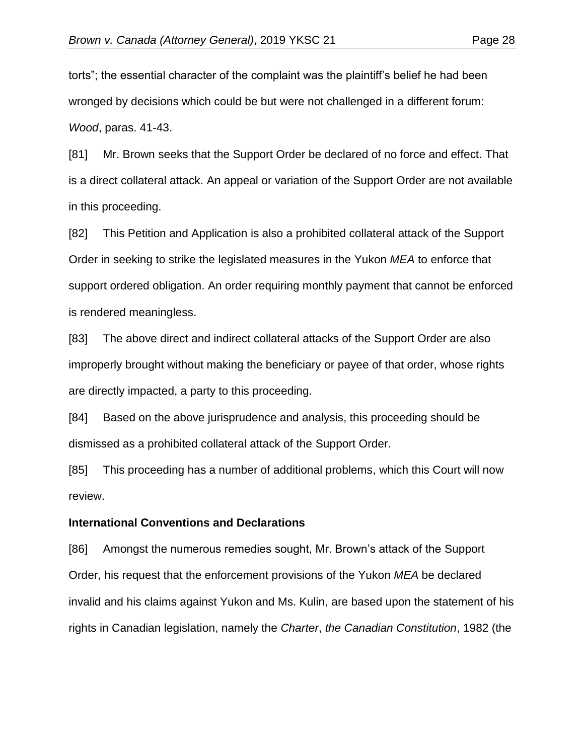torts"; the essential character of the complaint was the plaintiff's belief he had been wronged by decisions which could be but were not challenged in a different forum: *Wood*, paras. 41-43.

[81] Mr. Brown seeks that the Support Order be declared of no force and effect. That is a direct collateral attack. An appeal or variation of the Support Order are not available in this proceeding.

[82] This Petition and Application is also a prohibited collateral attack of the Support Order in seeking to strike the legislated measures in the Yukon *MEA* to enforce that support ordered obligation. An order requiring monthly payment that cannot be enforced is rendered meaningless.

[83] The above direct and indirect collateral attacks of the Support Order are also improperly brought without making the beneficiary or payee of that order, whose rights are directly impacted, a party to this proceeding.

[84] Based on the above jurisprudence and analysis, this proceeding should be dismissed as a prohibited collateral attack of the Support Order.

[85] This proceeding has a number of additional problems, which this Court will now review.

#### **International Conventions and Declarations**

[86] Amongst the numerous remedies sought, Mr. Brown's attack of the Support Order, his request that the enforcement provisions of the Yukon *MEA* be declared invalid and his claims against Yukon and Ms. Kulin, are based upon the statement of his rights in Canadian legislation, namely the *Charter*, *the Canadian Constitution*, 1982 (the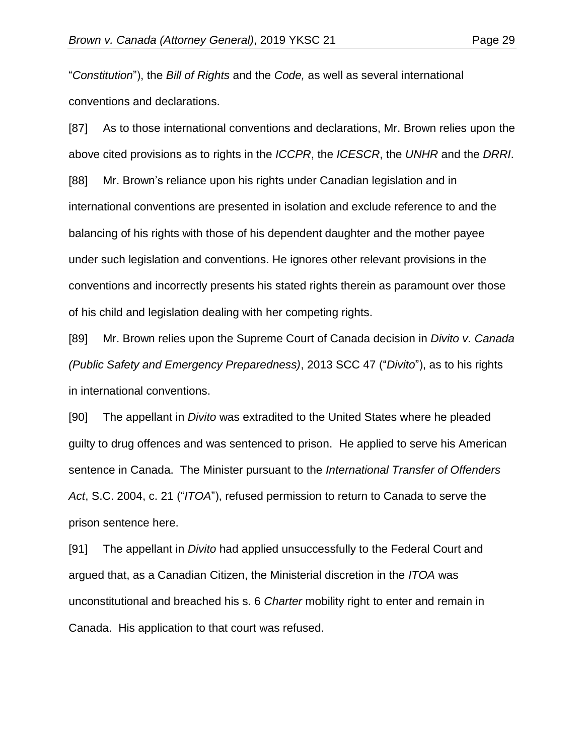"*Constitution*"), the *Bill of Rights* and the *Code,* as well as several international conventions and declarations.

[87] As to those international conventions and declarations, Mr. Brown relies upon the above cited provisions as to rights in the *ICCPR*, the *ICESCR*, the *UNHR* and the *DRRI*. [88] Mr. Brown's reliance upon his rights under Canadian legislation and in international conventions are presented in isolation and exclude reference to and the balancing of his rights with those of his dependent daughter and the mother payee under such legislation and conventions. He ignores other relevant provisions in the conventions and incorrectly presents his stated rights therein as paramount over those of his child and legislation dealing with her competing rights.

[89] Mr. Brown relies upon the Supreme Court of Canada decision in *Divito v. Canada (Public Safety and Emergency Preparedness)*, 2013 SCC 47 ("*Divito*"), as to his rights in international conventions.

[90] The appellant in *Divito* was extradited to the United States where he pleaded guilty to drug offences and was sentenced to prison. He applied to serve his American sentence in Canada. The Minister pursuant to the *International Transfer of Offenders Act*, S.C. 2004, c. 21 ("*ITOA*"), refused permission to return to Canada to serve the prison sentence here.

[91] The appellant in *Divito* had applied unsuccessfully to the Federal Court and argued that, as a Canadian Citizen, the Ministerial discretion in the *ITOA* was unconstitutional and breached his s. 6 *Charter* mobility right to enter and remain in Canada. His application to that court was refused.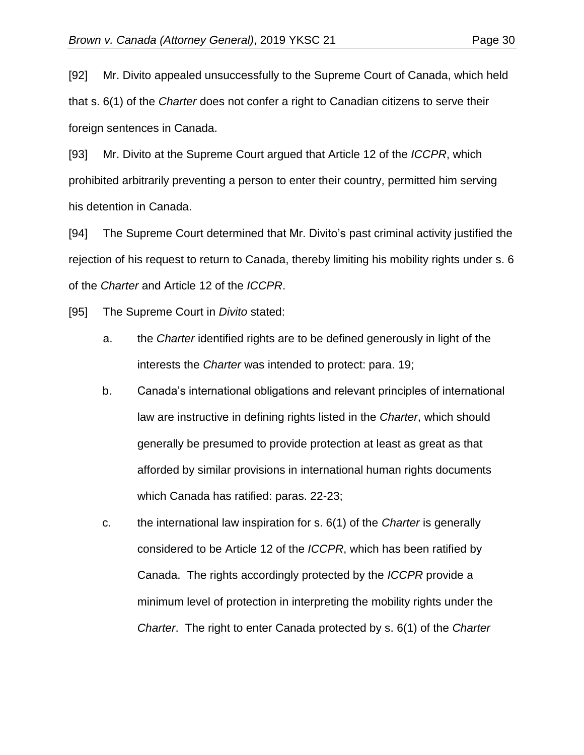[92] Mr. Divito appealed unsuccessfully to the Supreme Court of Canada, which held that s. 6(1) of the *Charter* does not confer a right to Canadian citizens to serve their foreign sentences in Canada.

[93] Mr. Divito at the Supreme Court argued that Article 12 of the *ICCPR*, which prohibited arbitrarily preventing a person to enter their country, permitted him serving his detention in Canada.

[94] The Supreme Court determined that Mr. Divito's past criminal activity justified the rejection of his request to return to Canada, thereby limiting his mobility rights under s. 6 of the *Charter* and Article 12 of the *ICCPR*.

[95] The Supreme Court in *Divito* stated:

- a. the *Charter* identified rights are to be defined generously in light of the interests the *Charter* was intended to protect: para. 19;
- b. Canada's international obligations and relevant principles of international law are instructive in defining rights listed in the *Charter*, which should generally be presumed to provide protection at least as great as that afforded by similar provisions in international human rights documents which Canada has ratified: paras. 22-23;
- c. the international law inspiration for s. 6(1) of the *Charter* is generally considered to be Article 12 of the *ICCPR*, which has been ratified by Canada. The rights accordingly protected by the *ICCPR* provide a minimum level of protection in interpreting the mobility rights under the *Charter*. The right to enter Canada protected by s. 6(1) of the *Charter*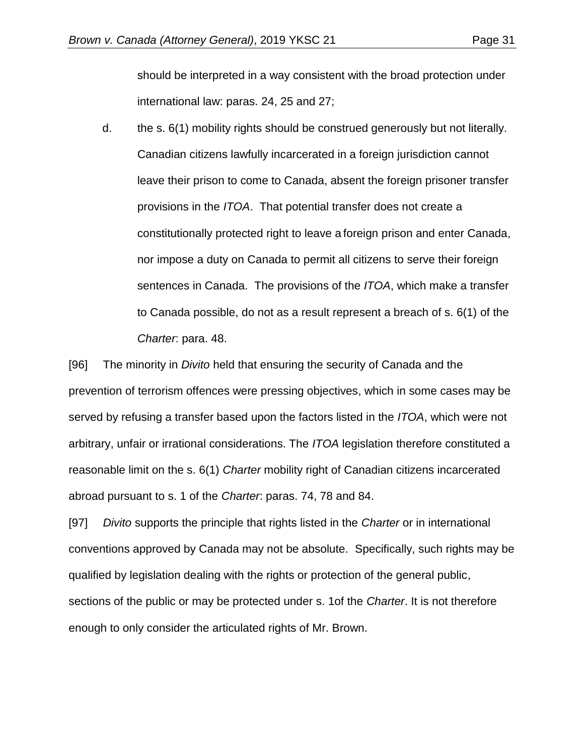should be interpreted in a way consistent with the broad protection under international law: paras. 24, 25 and 27;

d. the s. 6(1) mobility rights should be construed generously but not literally. Canadian citizens lawfully incarcerated in a foreign jurisdiction cannot leave their prison to come to Canada, absent the foreign prisoner transfer provisions in the *ITOA*. That potential transfer does not create a constitutionally protected right to leave a foreign prison and enter Canada, nor impose a duty on Canada to permit all citizens to serve their foreign sentences in Canada. The provisions of the *ITOA*, which make a transfer to Canada possible, do not as a result represent a breach of s. 6(1) of the *Charter*: para. 48.

[96] The minority in *Divito* held that ensuring the security of Canada and the prevention of terrorism offences were pressing objectives, which in some cases may be served by refusing a transfer based upon the factors listed in the *ITOA*, which were not arbitrary, unfair or irrational considerations. The *ITOA* legislation therefore constituted a reasonable limit on the s. 6(1) *Charter* mobility right of Canadian citizens incarcerated abroad pursuant to s. 1 of the *Charter*: paras. 74, 78 and 84.

[97] *Divito* supports the principle that rights listed in the *Charter* or in international conventions approved by Canada may not be absolute. Specifically, such rights may be qualified by legislation dealing with the rights or protection of the general public, sections of the public or may be protected under s. 1of the *Charter*. It is not therefore enough to only consider the articulated rights of Mr. Brown.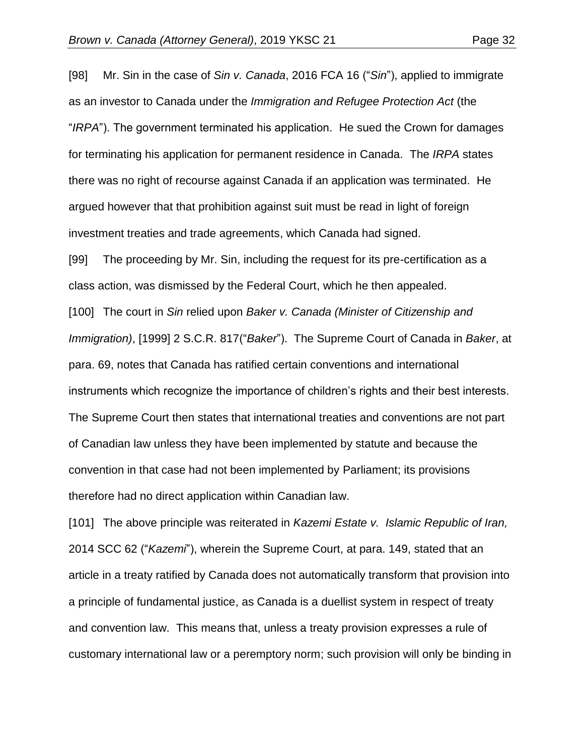[98] Mr. Sin in the case of *Sin v. Canada*, 2016 FCA 16 ("*Sin*"), applied to immigrate as an investor to Canada under the *Immigration and Refugee Protection Act* (the "*IRPA*"). The government terminated his application. He sued the Crown for damages for terminating his application for permanent residence in Canada. The *IRPA* states there was no right of recourse against Canada if an application was terminated. He argued however that that prohibition against suit must be read in light of foreign investment treaties and trade agreements, which Canada had signed.

[99] The proceeding by Mr. Sin, including the request for its pre-certification as a class action, was dismissed by the Federal Court, which he then appealed.

[100] The court in *Sin* relied upon *Baker v. Canada (Minister of Citizenship and Immigration)*, [1999] 2 S.C.R. 817("*Baker*"). The Supreme Court of Canada in *Baker*, at para. 69, notes that Canada has ratified certain conventions and international instruments which recognize the importance of children's rights and their best interests. The Supreme Court then states that international treaties and conventions are not part of Canadian law unless they have been implemented by statute and because the convention in that case had not been implemented by Parliament; its provisions therefore had no direct application within Canadian law.

[101] The above principle was reiterated in *Kazemi Estate v. Islamic Republic of Iran,* 2014 SCC 62 ("*Kazemi*"), wherein the Supreme Court, at para. 149, stated that an article in a treaty ratified by Canada does not automatically transform that provision into a principle of fundamental justice, as Canada is a duellist system in respect of treaty and convention law. This means that, unless a treaty provision expresses a rule of customary international law or a peremptory norm; such provision will only be binding in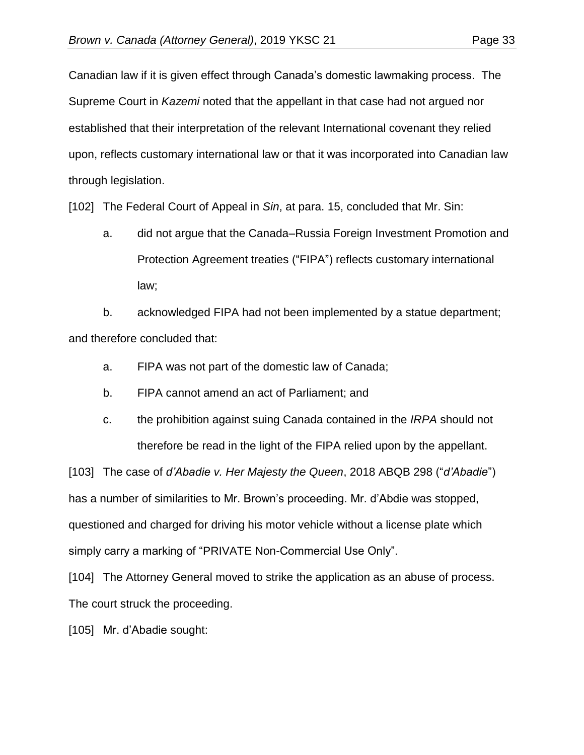Canadian law if it is given effect through Canada's domestic lawmaking process. The Supreme Court in *Kazemi* noted that the appellant in that case had not argued nor established that their interpretation of the relevant International covenant they relied upon, reflects customary international law or that it was incorporated into Canadian law through legislation.

[102] The Federal Court of Appeal in *Sin*, at para. 15, concluded that Mr. Sin:

a. did not argue that the Canada–Russia Foreign Investment Promotion and Protection Agreement treaties ("FIPA") reflects customary international law;

b. acknowledged FIPA had not been implemented by a statue department; and therefore concluded that:

- a. FIPA was not part of the domestic law of Canada;
- b. FIPA cannot amend an act of Parliament; and
- c. the prohibition against suing Canada contained in the *IRPA* should not therefore be read in the light of the FIPA relied upon by the appellant.

[103] The case of *d'Abadie v. Her Majesty the Queen*, 2018 ABQB 298 ("*d'Abadie*") has a number of similarities to Mr. Brown's proceeding. Mr. d'Abdie was stopped, questioned and charged for driving his motor vehicle without a license plate which simply carry a marking of "PRIVATE Non-Commercial Use Only".

[104] The Attorney General moved to strike the application as an abuse of process. The court struck the proceeding.

[105] Mr. d'Abadie sought: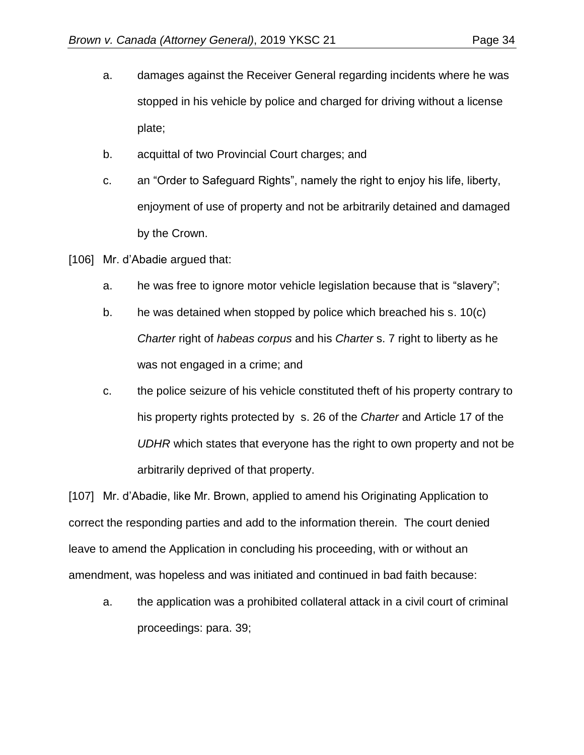- a. damages against the Receiver General regarding incidents where he was stopped in his vehicle by police and charged for driving without a license plate;
- b. acquittal of two Provincial Court charges; and
- c. an "Order to Safeguard Rights", namely the right to enjoy his life, liberty, enjoyment of use of property and not be arbitrarily detained and damaged by the Crown.
- [106] Mr. d'Abadie argued that:
	- a. he was free to ignore motor vehicle legislation because that is "slavery";
	- b. he was detained when stopped by police which breached his s. 10(c) *Charter* right of *habeas corpus* and his *Charter* s. 7 right to liberty as he was not engaged in a crime; and
	- c. the police seizure of his vehicle constituted theft of his property contrary to his property rights protected by s. 26 of the *Charter* and Article 17 of the *UDHR* which states that everyone has the right to own property and not be arbitrarily deprived of that property.

[107] Mr. d'Abadie, like Mr. Brown, applied to amend his Originating Application to correct the responding parties and add to the information therein. The court denied leave to amend the Application in concluding his proceeding, with or without an amendment, was hopeless and was initiated and continued in bad faith because:

a. the application was a prohibited collateral attack in a civil court of criminal proceedings: para. 39;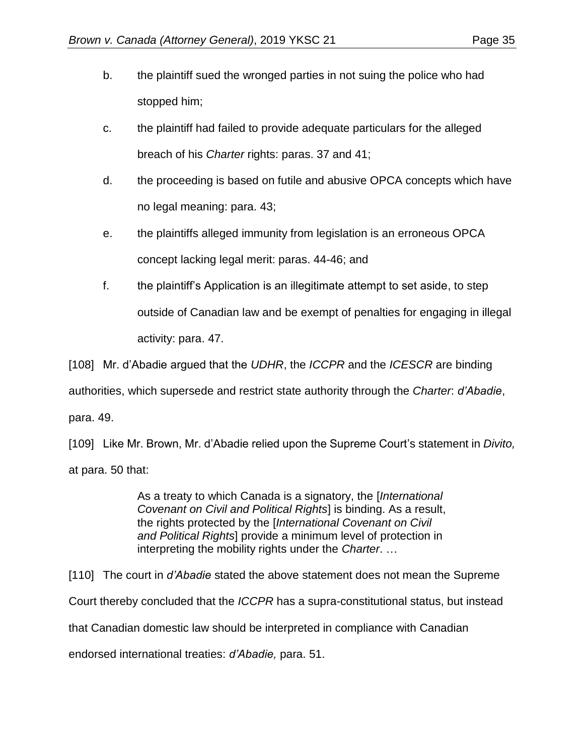- b. the plaintiff sued the wronged parties in not suing the police who had stopped him;
- c. the plaintiff had failed to provide adequate particulars for the alleged breach of his *Charter* rights: paras. 37 and 41;
- d. the proceeding is based on futile and abusive OPCA concepts which have no legal meaning: para. 43;
- e. the plaintiffs alleged immunity from legislation is an erroneous OPCA concept lacking legal merit: paras. 44-46; and
- f. the plaintiff's Application is an illegitimate attempt to set aside, to step outside of Canadian law and be exempt of penalties for engaging in illegal activity: para. 47.

[108] Mr. d'Abadie argued that the *UDHR*, the *ICCPR* and the *ICESCR* are binding authorities, which supersede and restrict state authority through the *Charter*: *d'Abadie*, para. 49.

[109] Like Mr. Brown, Mr. d'Abadie relied upon the Supreme Court's statement in *Divito,* at para. 50 that:

> As a treaty to which Canada is a signatory, the [*International Covenant on Civil and Political Rights*] is binding. As a result, the rights protected by the [*International Covenant on Civil and Political Rights*] provide a minimum level of protection in interpreting the mobility rights under the *Charter*. …

[110] The court in *d'Abadie* stated the above statement does not mean the Supreme Court thereby concluded that the *ICCPR* has a supra-constitutional status, but instead that Canadian domestic law should be interpreted in compliance with Canadian endorsed international treaties: *d'Abadie,* para. 51.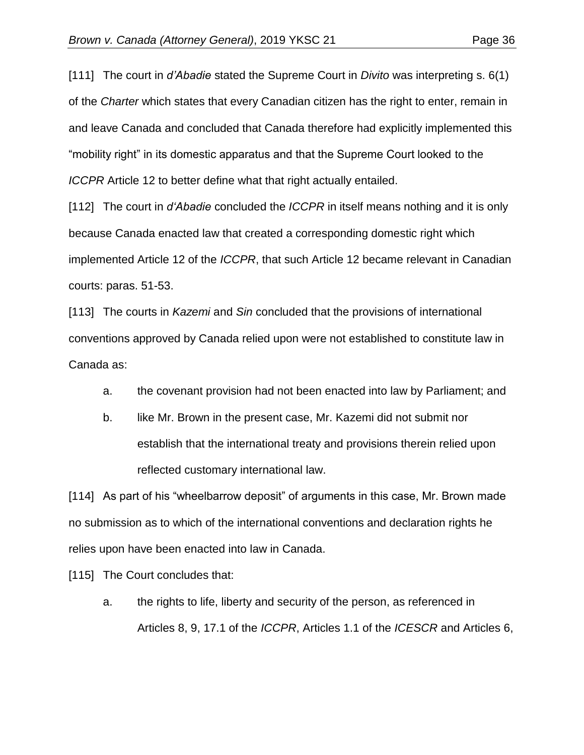[111] The court in *d'Abadie* stated the Supreme Court in *Divito* was interpreting s. 6(1) of the *Charter* which states that every Canadian citizen has the right to enter, remain in and leave Canada and concluded that Canada therefore had explicitly implemented this "mobility right" in its domestic apparatus and that the Supreme Court looked to the *ICCPR* Article 12 to better define what that right actually entailed.

[112] The court in *d'Abadie* concluded the *ICCPR* in itself means nothing and it is only because Canada enacted law that created a corresponding domestic right which implemented Article 12 of the *ICCPR*, that such Article 12 became relevant in Canadian courts: paras. 51-53.

[113] The courts in *Kazemi* and *Sin* concluded that the provisions of international conventions approved by Canada relied upon were not established to constitute law in Canada as:

- a. the covenant provision had not been enacted into law by Parliament; and
- b. like Mr. Brown in the present case, Mr. Kazemi did not submit nor establish that the international treaty and provisions therein relied upon reflected customary international law.

[114] As part of his "wheelbarrow deposit" of arguments in this case, Mr. Brown made no submission as to which of the international conventions and declaration rights he relies upon have been enacted into law in Canada.

[115] The Court concludes that:

a. the rights to life, liberty and security of the person, as referenced in Articles 8, 9, 17.1 of the *ICCPR*, Articles 1.1 of the *ICESCR* and Articles 6,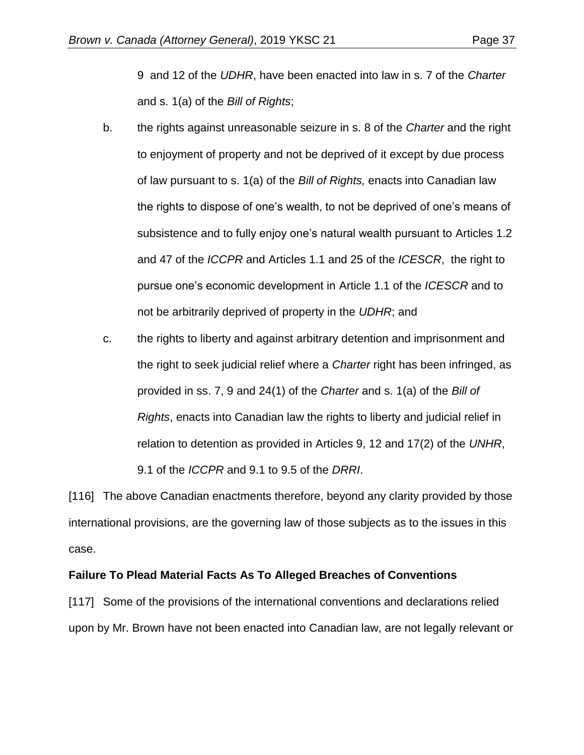9 and 12 of the *UDHR*, have been enacted into law in s. 7 of the *Charter* and s. 1(a) of the *Bill of Rights*;

- b. the rights against unreasonable seizure in s. 8 of the *Charter* and the right to enjoyment of property and not be deprived of it except by due process of law pursuant to s. 1(a) of the *Bill of Rights,* enacts into Canadian law the rights to dispose of one's wealth, to not be deprived of one's means of subsistence and to fully enjoy one's natural wealth pursuant to Articles 1.2 and 47 of the *ICCPR* and Articles 1.1 and 25 of the *ICESCR*, the right to pursue one's economic development in Article 1.1 of the *ICESCR* and to not be arbitrarily deprived of property in the *UDHR*; and
- c. the rights to liberty and against arbitrary detention and imprisonment and the right to seek judicial relief where a *Charter* right has been infringed, as provided in ss. 7, 9 and 24(1) of the *Charter* and s. 1(a) of the *Bill of Rights*, enacts into Canadian law the rights to liberty and judicial relief in relation to detention as provided in Articles 9, 12 and 17(2) of the *UNHR*, 9.1 of the *ICCPR* and 9.1 to 9.5 of the *DRRI*.

[116] The above Canadian enactments therefore, beyond any clarity provided by those international provisions, are the governing law of those subjects as to the issues in this case.

### **Failure To Plead Material Facts As To Alleged Breaches of Conventions**

[117] Some of the provisions of the international conventions and declarations relied upon by Mr. Brown have not been enacted into Canadian law, are not legally relevant or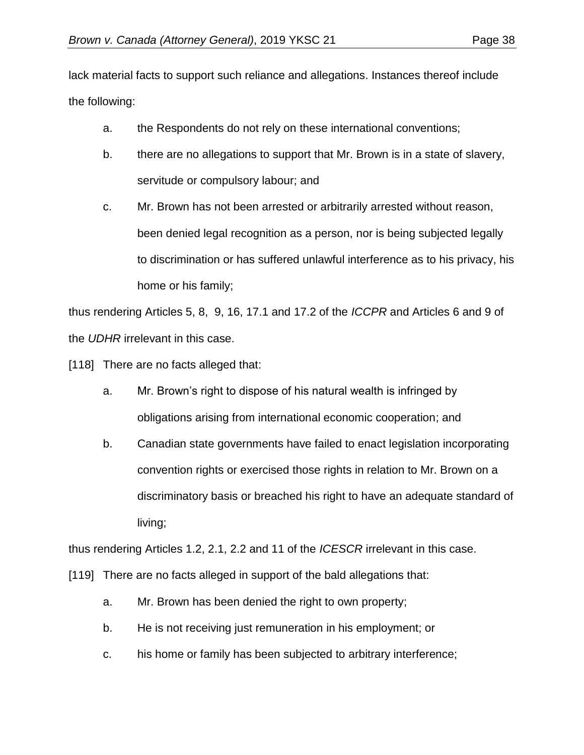lack material facts to support such reliance and allegations. Instances thereof include the following:

- a. the Respondents do not rely on these international conventions;
- b. there are no allegations to support that Mr. Brown is in a state of slavery, servitude or compulsory labour; and
- c. Mr. Brown has not been arrested or arbitrarily arrested without reason, been denied legal recognition as a person, nor is being subjected legally to discrimination or has suffered unlawful interference as to his privacy, his home or his family;

thus rendering Articles 5, 8, 9, 16, 17.1 and 17.2 of the *ICCPR* and Articles 6 and 9 of the *UDHR* irrelevant in this case.

[118] There are no facts alleged that:

- a. Mr. Brown's right to dispose of his natural wealth is infringed by obligations arising from international economic cooperation; and
- b. Canadian state governments have failed to enact legislation incorporating convention rights or exercised those rights in relation to Mr. Brown on a discriminatory basis or breached his right to have an adequate standard of living;

thus rendering Articles 1.2, 2.1, 2.2 and 11 of the *ICESCR* irrelevant in this case.

[119] There are no facts alleged in support of the bald allegations that:

- a. Mr. Brown has been denied the right to own property;
- b. He is not receiving just remuneration in his employment; or
- c. his home or family has been subjected to arbitrary interference;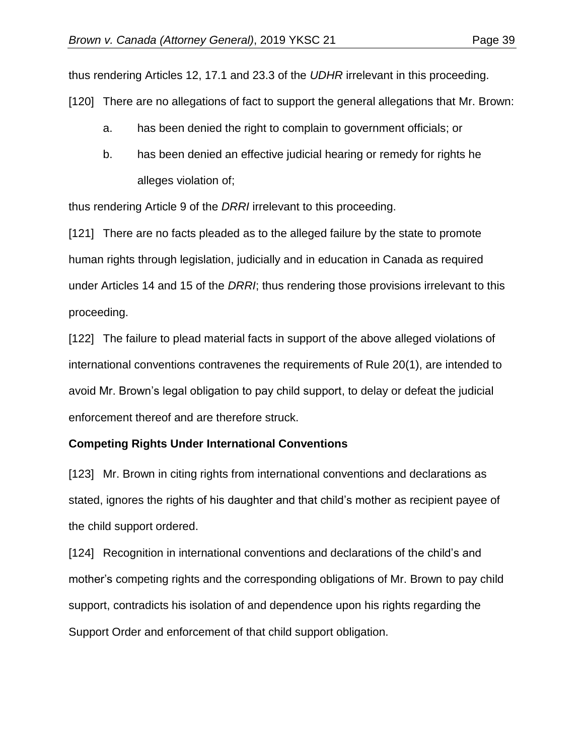thus rendering Articles 12, 17.1 and 23.3 of the *UDHR* irrelevant in this proceeding. [120] There are no allegations of fact to support the general allegations that Mr. Brown:

- a. has been denied the right to complain to government officials; or
- b. has been denied an effective judicial hearing or remedy for rights he alleges violation of;

thus rendering Article 9 of the *DRRI* irrelevant to this proceeding.

[121] There are no facts pleaded as to the alleged failure by the state to promote human rights through legislation, judicially and in education in Canada as required under Articles 14 and 15 of the *DRRI*; thus rendering those provisions irrelevant to this proceeding.

[122] The failure to plead material facts in support of the above alleged violations of international conventions contravenes the requirements of Rule 20(1), are intended to avoid Mr. Brown's legal obligation to pay child support, to delay or defeat the judicial enforcement thereof and are therefore struck.

### **Competing Rights Under International Conventions**

[123] Mr. Brown in citing rights from international conventions and declarations as stated, ignores the rights of his daughter and that child's mother as recipient payee of the child support ordered.

[124] Recognition in international conventions and declarations of the child's and mother's competing rights and the corresponding obligations of Mr. Brown to pay child support, contradicts his isolation of and dependence upon his rights regarding the Support Order and enforcement of that child support obligation.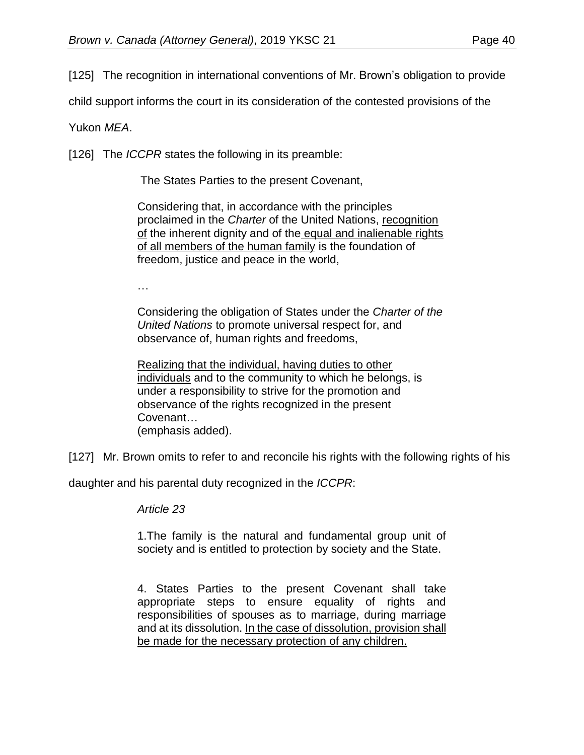[125] The recognition in international conventions of Mr. Brown's obligation to provide

child support informs the court in its consideration of the contested provisions of the

Yukon *MEA*.

[126] The *ICCPR* states the following in its preamble:

The States Parties to the present Covenant,

Considering that, in accordance with the principles proclaimed in the *Charter* of the United Nations, recognition of the inherent dignity and of the equal and inalienable rights of all members of the human family is the foundation of freedom, justice and peace in the world,

…

Considering the obligation of States under the *Charter of the United Nations* to promote universal respect for, and observance of, human rights and freedoms,

Realizing that the individual, having duties to other individuals and to the community to which he belongs, is under a responsibility to strive for the promotion and observance of the rights recognized in the present Covenant… (emphasis added).

[127] Mr. Brown omits to refer to and reconcile his rights with the following rights of his

daughter and his parental duty recognized in the *ICCPR*:

*Article 23*

1.The family is the natural and fundamental group unit of society and is entitled to protection by society and the State.

4. States Parties to the present Covenant shall take appropriate steps to ensure equality of rights and responsibilities of spouses as to marriage, during marriage and at its dissolution. In the case of dissolution, provision shall be made for the necessary protection of any children.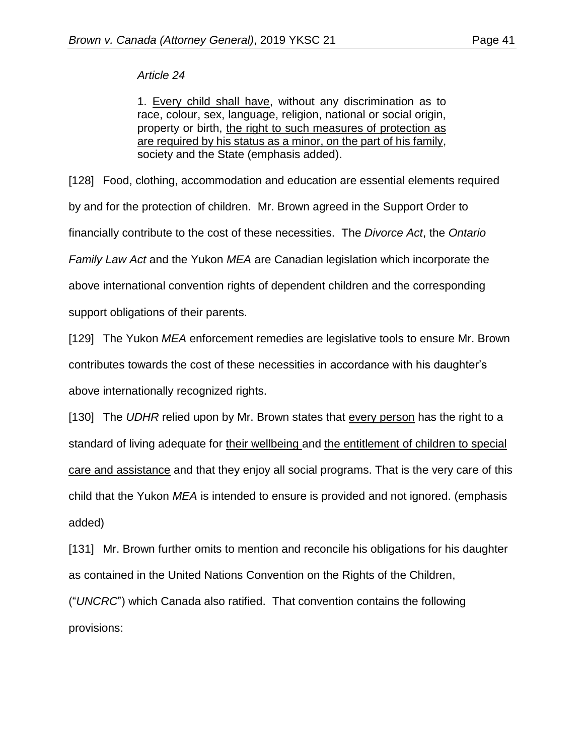### *Article 24*

1. Every child shall have, without any discrimination as to race, colour, sex, language, religion, national or social origin, property or birth, the right to such measures of protection as are required by his status as a minor, on the part of his family, society and the State (emphasis added).

[128] Food, clothing, accommodation and education are essential elements required by and for the protection of children. Mr. Brown agreed in the Support Order to financially contribute to the cost of these necessities. The *Divorce Act*, the *Ontario Family Law Act* and the Yukon *MEA* are Canadian legislation which incorporate the above international convention rights of dependent children and the corresponding support obligations of their parents.

[129] The Yukon *MEA* enforcement remedies are legislative tools to ensure Mr. Brown contributes towards the cost of these necessities in accordance with his daughter's above internationally recognized rights.

[130] The *UDHR* relied upon by Mr. Brown states that every person has the right to a standard of living adequate for their wellbeing and the entitlement of children to special care and assistance and that they enjoy all social programs. That is the very care of this child that the Yukon *MEA* is intended to ensure is provided and not ignored. (emphasis added)

[131] Mr. Brown further omits to mention and reconcile his obligations for his daughter as contained in the United Nations Convention on the Rights of the Children,

("*UNCRC*") which Canada also ratified. That convention contains the following provisions: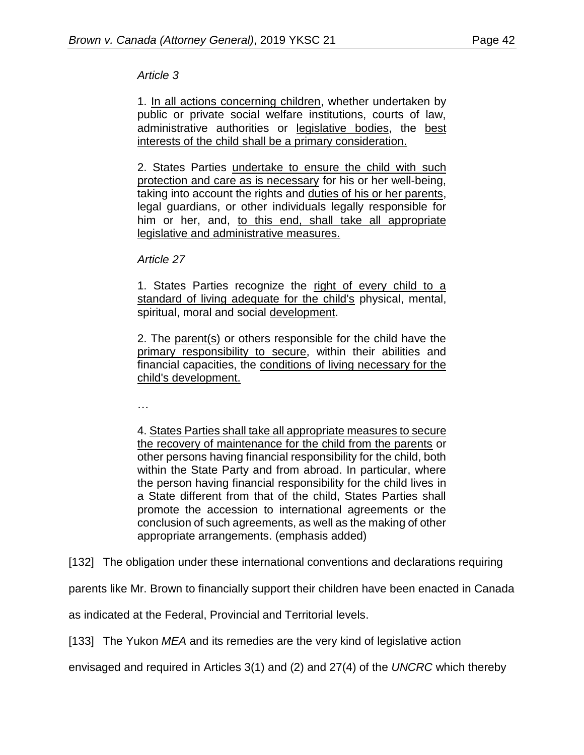# *Article 3*

1. In all actions concerning children, whether undertaken by public or private social welfare institutions, courts of law, administrative authorities or legislative bodies, the best interests of the child shall be a primary consideration.

2. States Parties undertake to ensure the child with such protection and care as is necessary for his or her well-being, taking into account the rights and duties of his or her parents, legal guardians, or other individuals legally responsible for him or her, and, to this end, shall take all appropriate legislative and administrative measures.

*Article 27*

1. States Parties recognize the right of every child to a standard of living adequate for the child's physical, mental, spiritual, moral and social development.

2. The parent(s) or others responsible for the child have the primary responsibility to secure, within their abilities and financial capacities, the conditions of living necessary for the child's development.

…

4. States Parties shall take all appropriate measures to secure the recovery of maintenance for the child from the parents or other persons having financial responsibility for the child, both within the State Party and from abroad. In particular, where the person having financial responsibility for the child lives in a State different from that of the child, States Parties shall promote the accession to international agreements or the conclusion of such agreements, as well as the making of other appropriate arrangements. (emphasis added)

[132] The obligation under these international conventions and declarations requiring

parents like Mr. Brown to financially support their children have been enacted in Canada

as indicated at the Federal, Provincial and Territorial levels.

[133] The Yukon *MEA* and its remedies are the very kind of legislative action

envisaged and required in Articles 3(1) and (2) and 27(4) of the *UNCRC* which thereby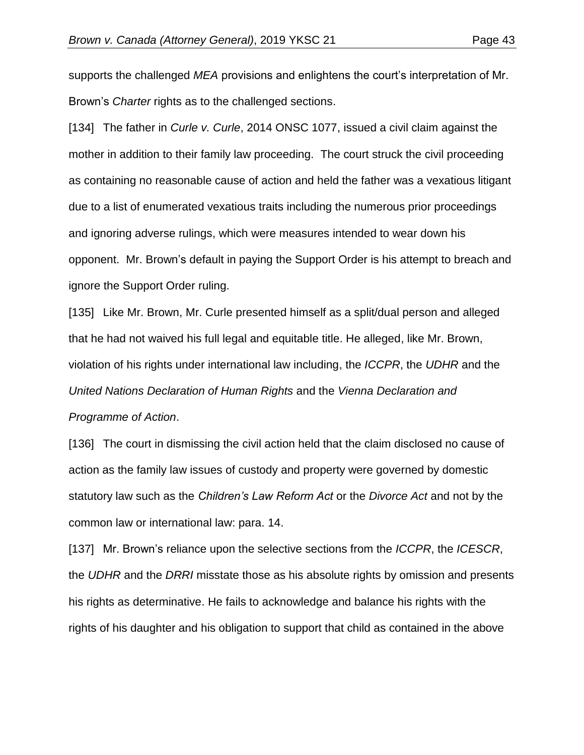supports the challenged *MEA* provisions and enlightens the court's interpretation of Mr. Brown's *Charter* rights as to the challenged sections.

[134] The father in *Curle v. Curle*, 2014 ONSC 1077, issued a civil claim against the mother in addition to their family law proceeding. The court struck the civil proceeding as containing no reasonable cause of action and held the father was a vexatious litigant due to a list of enumerated vexatious traits including the numerous prior proceedings and ignoring adverse rulings, which were measures intended to wear down his opponent. Mr. Brown's default in paying the Support Order is his attempt to breach and ignore the Support Order ruling.

[135] Like Mr. Brown, Mr. Curle presented himself as a split/dual person and alleged that he had not waived his full legal and equitable title. He alleged, like Mr. Brown, violation of his rights under international law including, the *ICCPR*, the *UDHR* and the *United Nations Declaration of Human Rights* and the *Vienna Declaration and Programme of Action*.

[136] The court in dismissing the civil action held that the claim disclosed no cause of action as the family law issues of custody and property were governed by domestic statutory law such as the *Children's Law Reform Act* or the *Divorce Act* and not by the common law or international law: para. 14.

[137] Mr. Brown's reliance upon the selective sections from the *ICCPR*, the *ICESCR*, the *UDHR* and the *DRRI* misstate those as his absolute rights by omission and presents his rights as determinative. He fails to acknowledge and balance his rights with the rights of his daughter and his obligation to support that child as contained in the above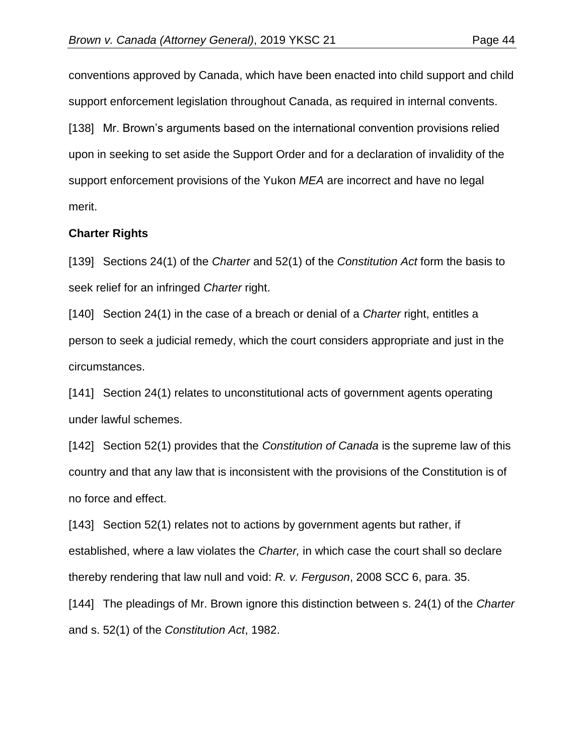[138] Mr. Brown's arguments based on the international convention provisions relied upon in seeking to set aside the Support Order and for a declaration of invalidity of the support enforcement provisions of the Yukon *MEA* are incorrect and have no legal merit.

### **Charter Rights**

[139] Sections 24(1) of the *Charter* and 52(1) of the *Constitution Act* form the basis to seek relief for an infringed *Charter* right.

[140] Section 24(1) in the case of a breach or denial of a *Charter* right, entitles a person to seek a judicial remedy, which the court considers appropriate and just in the circumstances.

[141] Section 24(1) relates to unconstitutional acts of government agents operating under lawful schemes.

[142] Section 52(1) provides that the *Constitution of Canada* is the supreme law of this country and that any law that is inconsistent with the provisions of the Constitution is of no force and effect.

[143] Section 52(1) relates not to actions by government agents but rather, if established, where a law violates the *Charter,* in which case the court shall so declare thereby rendering that law null and void: *R. v. Ferguson*, 2008 SCC 6, para. 35.

[144] The pleadings of Mr. Brown ignore this distinction between s. 24(1) of the *Charter* and s. 52(1) of the *Constitution Act*, 1982.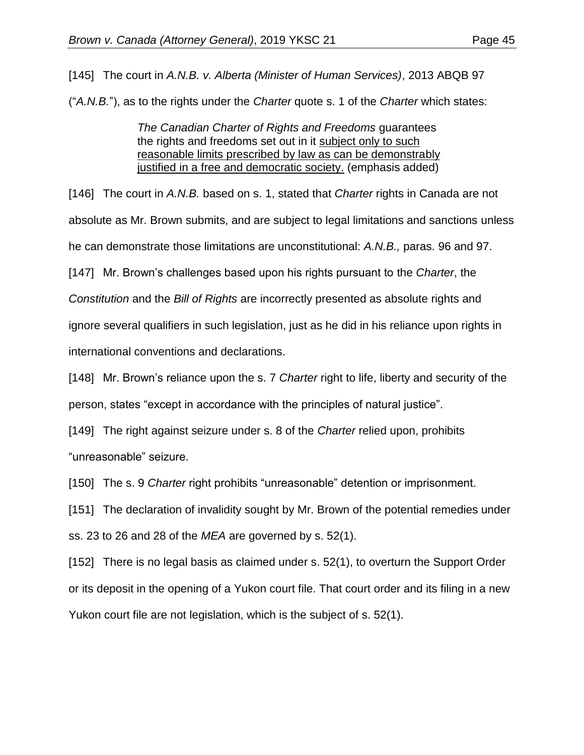[145] The court in *A.N.B. v. Alberta (Minister of Human Services)*, 2013 ABQB 97

("*A.N.B.*"), as to the rights under the *Charter* quote s. 1 of the *Charter* which states:

*The Canadian Charter of Rights and Freedoms* guarantees the rights and freedoms set out in it subject only to such reasonable limits prescribed by law as can be demonstrably justified in a free and democratic society. (emphasis added)

[146] The court in *A.N.B.* based on s. 1, stated that *Charter* rights in Canada are not absolute as Mr. Brown submits, and are subject to legal limitations and sanctions unless he can demonstrate those limitations are unconstitutional: *A.N.B.,* paras. 96 and 97.

[147] Mr. Brown's challenges based upon his rights pursuant to the *Charter*, the

*Constitution* and the *Bill of Rights* are incorrectly presented as absolute rights and

ignore several qualifiers in such legislation, just as he did in his reliance upon rights in

international conventions and declarations.

[148] Mr. Brown's reliance upon the s. 7 *Charter* right to life, liberty and security of the person, states "except in accordance with the principles of natural justice".

[149] The right against seizure under s. 8 of the *Charter* relied upon, prohibits "unreasonable" seizure.

[150] The s. 9 *Charter* right prohibits "unreasonable" detention or imprisonment.

[151] The declaration of invalidity sought by Mr. Brown of the potential remedies under ss. 23 to 26 and 28 of the *MEA* are governed by s. 52(1).

[152] There is no legal basis as claimed under s. 52(1), to overturn the Support Order or its deposit in the opening of a Yukon court file. That court order and its filing in a new Yukon court file are not legislation, which is the subject of s. 52(1).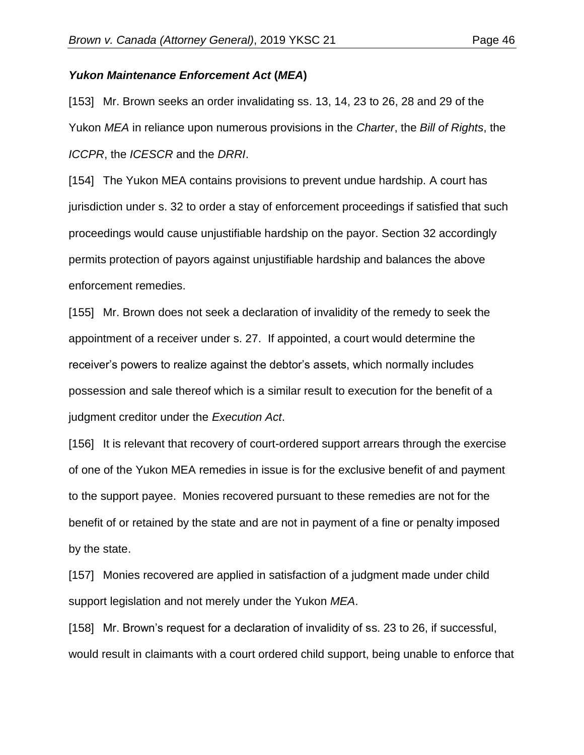#### *Yukon Maintenance Enforcement Act* **(***MEA***)**

[153] Mr. Brown seeks an order invalidating ss. 13, 14, 23 to 26, 28 and 29 of the Yukon *MEA* in reliance upon numerous provisions in the *Charter*, the *Bill of Rights*, the *ICCPR*, the *ICESCR* and the *DRRI*.

[154] The Yukon MEA contains provisions to prevent undue hardship. A court has jurisdiction under s. 32 to order a stay of enforcement proceedings if satisfied that such proceedings would cause unjustifiable hardship on the payor. Section 32 accordingly permits protection of payors against unjustifiable hardship and balances the above enforcement remedies.

[155] Mr. Brown does not seek a declaration of invalidity of the remedy to seek the appointment of a receiver under s. 27. If appointed, a court would determine the receiver's powers to realize against the debtor's assets, which normally includes possession and sale thereof which is a similar result to execution for the benefit of a judgment creditor under the *Execution Act*.

[156] It is relevant that recovery of court-ordered support arrears through the exercise of one of the Yukon MEA remedies in issue is for the exclusive benefit of and payment to the support payee. Monies recovered pursuant to these remedies are not for the benefit of or retained by the state and are not in payment of a fine or penalty imposed by the state.

[157] Monies recovered are applied in satisfaction of a judgment made under child support legislation and not merely under the Yukon *MEA*.

[158] Mr. Brown's request for a declaration of invalidity of ss. 23 to 26, if successful, would result in claimants with a court ordered child support, being unable to enforce that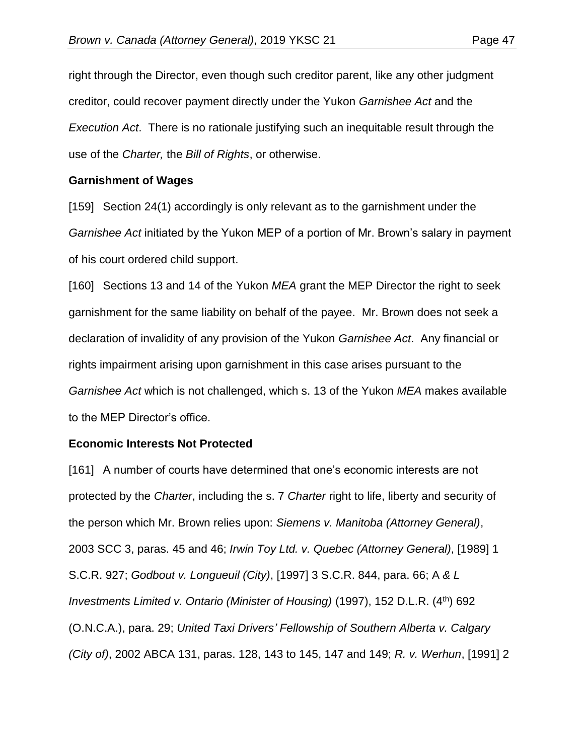right through the Director, even though such creditor parent, like any other judgment creditor, could recover payment directly under the Yukon *Garnishee Act* and the *Execution Act*. There is no rationale justifying such an inequitable result through the use of the *Charter,* the *Bill of Rights*, or otherwise.

### **Garnishment of Wages**

[159] Section 24(1) accordingly is only relevant as to the garnishment under the *Garnishee Act* initiated by the Yukon MEP of a portion of Mr. Brown's salary in payment of his court ordered child support.

[160] Sections 13 and 14 of the Yukon *MEA* grant the MEP Director the right to seek garnishment for the same liability on behalf of the payee. Mr. Brown does not seek a declaration of invalidity of any provision of the Yukon *Garnishee Act*. Any financial or rights impairment arising upon garnishment in this case arises pursuant to the *Garnishee Act* which is not challenged, which s. 13 of the Yukon *MEA* makes available to the MEP Director's office.

### **Economic Interests Not Protected**

[161] A number of courts have determined that one's economic interests are not protected by the *Charter*, including the s. 7 *Charter* right to life, liberty and security of the person which Mr. Brown relies upon: *Siemens v. Manitoba (Attorney General)*, 2003 SCC 3, paras. 45 and 46; *Irwin Toy Ltd. v. Quebec (Attorney General)*, [1989] 1 S.C.R. 927; *Godbout v. Longueuil (City)*, [1997] 3 S.C.R. 844, para. 66; A *& L Investments Limited v. Ontario (Minister of Housing)* (1997), 152 D.L.R. (4th) 692 (O.N.C.A.), para. 29; *United Taxi Drivers' Fellowship of Southern Alberta v. Calgary (City of)*, 2002 ABCA 131, paras. 128, 143 to 145, 147 and 149; *R. v. Werhun*, [1991] 2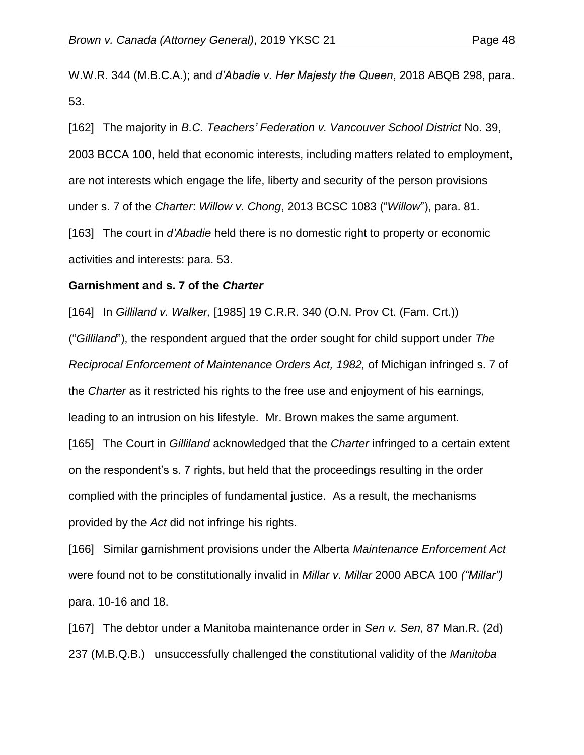W.W.R. 344 (M.B.C.A.); and *d'Abadie v. Her Majesty the Queen*, 2018 ABQB 298, para. 53.

[162] The majority in *B.C. Teachers' Federation v. Vancouver School District* No. 39, 2003 BCCA 100, held that economic interests, including matters related to employment, are not interests which engage the life, liberty and security of the person provisions under s. 7 of the *Charter*: *Willow v. Chong*, 2013 BCSC 1083 ("*Willow*"), para. 81. [163] The court in *d'Abadie* held there is no domestic right to property or economic

activities and interests: para. 53.

#### **Garnishment and s. 7 of the** *Charter*

[164] In *Gilliland v. Walker,* [1985] 19 C.R.R. 340 (O.N. Prov Ct. (Fam. Crt.))

("*Gilliland*"), the respondent argued that the order sought for child support under *The Reciprocal Enforcement of Maintenance Orders Act, 1982,* of Michigan infringed s. 7 of the *Charter* as it restricted his rights to the free use and enjoyment of his earnings, leading to an intrusion on his lifestyle. Mr. Brown makes the same argument.

[165] The Court in *Gilliland* acknowledged that the *Charter* infringed to a certain extent on the respondent's s. 7 rights, but held that the proceedings resulting in the order complied with the principles of fundamental justice. As a result, the mechanisms provided by the *Act* did not infringe his rights.

[166] Similar garnishment provisions under the Alberta *Maintenance Enforcement Act* were found not to be constitutionally invalid in *Millar v. Millar* 2000 ABCA 100 *("Millar")* para. 10-16 and 18.

[167] The debtor under a Manitoba maintenance order in *Sen v. Sen,* 87 Man.R. (2d) 237 (M.B.Q.B.) unsuccessfully challenged the constitutional validity of the *Manitoba*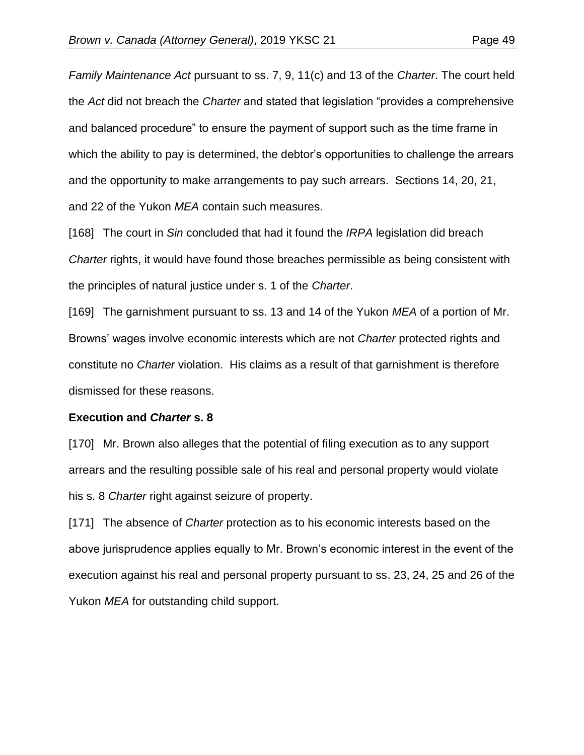*Family Maintenance Act* pursuant to ss. 7, 9, 11(c) and 13 of the *Charter*. The court held the *Act* did not breach the *Charter* and stated that legislation "provides a comprehensive and balanced procedure" to ensure the payment of support such as the time frame in which the ability to pay is determined, the debtor's opportunities to challenge the arrears and the opportunity to make arrangements to pay such arrears. Sections 14, 20, 21, and 22 of the Yukon *MEA* contain such measures.

[168] The court in *Sin* concluded that had it found the *IRPA* legislation did breach *Charter* rights, it would have found those breaches permissible as being consistent with the principles of natural justice under s. 1 of the *Charter*.

[169] The garnishment pursuant to ss. 13 and 14 of the Yukon *MEA* of a portion of Mr. Browns' wages involve economic interests which are not *Charter* protected rights and constitute no *Charter* violation. His claims as a result of that garnishment is therefore dismissed for these reasons.

### **Execution and** *Charter* **s. 8**

[170] Mr. Brown also alleges that the potential of filing execution as to any support arrears and the resulting possible sale of his real and personal property would violate his s. 8 *Charter* right against seizure of property.

[171] The absence of *Charter* protection as to his economic interests based on the above jurisprudence applies equally to Mr. Brown's economic interest in the event of the execution against his real and personal property pursuant to ss. 23, 24, 25 and 26 of the Yukon *MEA* for outstanding child support.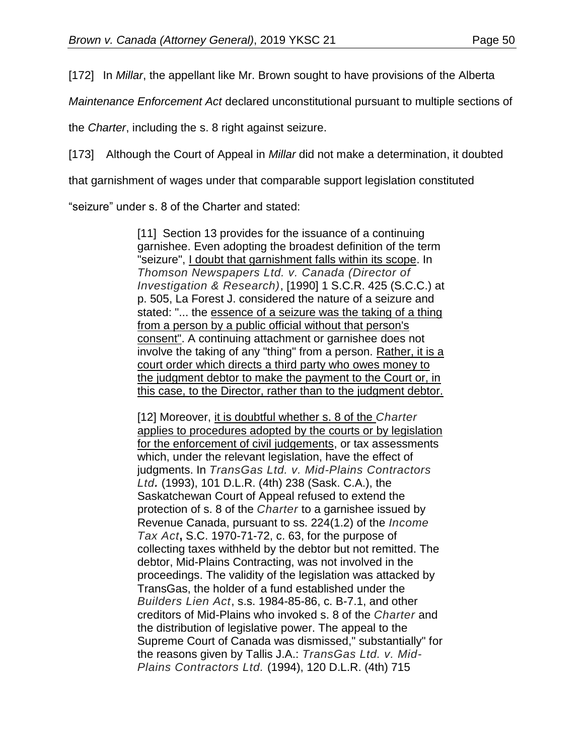[172] In *Millar*, the appellant like Mr. Brown sought to have provisions of the Alberta

*Maintenance Enforcement Act* declared unconstitutional pursuant to multiple sections of

the *Charter*, including the s. 8 right against seizure.

[173] Although the Court of Appeal in *Millar* did not make a determination, it doubted

that garnishment of wages under that comparable support legislation constituted

"seizure" under s. 8 of the Charter and stated:

[11] Section 13 provides for the issuance of a continuing garnishee. Even adopting the broadest definition of the term "seizure", I doubt that garnishment falls within its scope. In *Thomson Newspapers Ltd. v. Canada (Director of Investigation & Research)*, [1990] 1 S.C.R. 425 (S.C.C.) at p. 505, La Forest J. considered the nature of a seizure and stated: "... the essence of a seizure was the taking of a thing from a person by a public official without that person's consent". A continuing attachment or garnishee does not involve the taking of any "thing" from a person. Rather, it is a court order which directs a third party who owes money to the judgment debtor to make the payment to the Court or, in this case, to the Director, rather than to the judgment debtor.

[12] Moreover, it is doubtful whether s. 8 of the *Charter* applies to procedures adopted by the courts or by legislation for the enforcement of civil judgements, or tax assessments which, under the relevant legislation, have the effect of judgments. In *TransGas Ltd. v. Mid-Plains Contractors Ltd.* (1993), 101 D.L.R. (4th) 238 (Sask. C.A.), the Saskatchewan Court of Appeal refused to extend the protection of s. 8 of the *Charter* to a garnishee issued by Revenue Canada, pursuant to ss. 224(1.2) of the *Income Tax Act***,** S.C. 1970-71-72, c. 63, for the purpose of collecting taxes withheld by the debtor but not remitted. The debtor, Mid-Plains Contracting, was not involved in the proceedings. The validity of the legislation was attacked by TransGas, the holder of a fund established under the *Builders Lien Act*, s.s. 1984-85-86, c. B-7.1, and other creditors of Mid-Plains who invoked s. 8 of the *Charter* and the distribution of legislative power. The appeal to the Supreme Court of Canada was dismissed," substantially" for the reasons given by Tallis J.A.: *TransGas Ltd. v. Mid-Plains Contractors Ltd.* (1994), 120 D.L.R. (4th) 715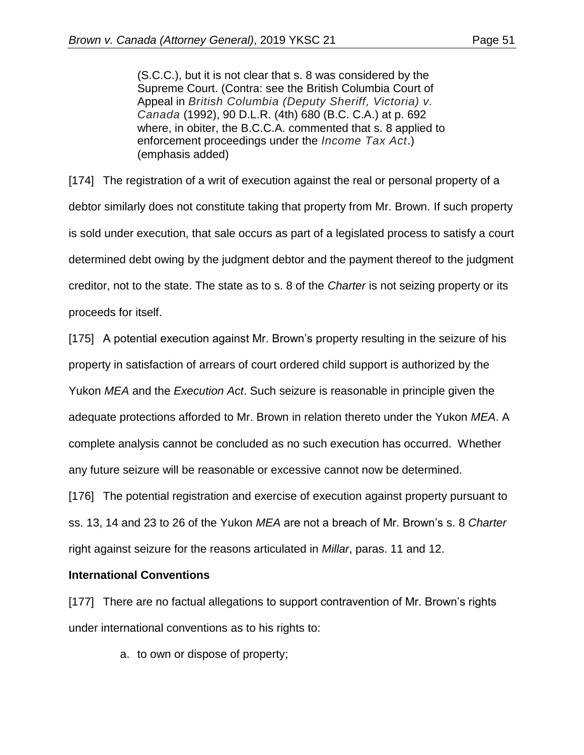(S.C.C.), but it is not clear that s. 8 was considered by the Supreme Court. (Contra: see the British Columbia Court of Appeal in *British Columbia (Deputy Sheriff, Victoria) v. Canada* (1992), 90 D.L.R. (4th) 680 (B.C. C.A.) at p. 692 where, in obiter, the B.C.C.A. commented that s. 8 applied to enforcement proceedings under the *Income Tax Act*.) (emphasis added)

[174] The registration of a writ of execution against the real or personal property of a debtor similarly does not constitute taking that property from Mr. Brown. If such property is sold under execution, that sale occurs as part of a legislated process to satisfy a court determined debt owing by the judgment debtor and the payment thereof to the judgment creditor, not to the state. The state as to s. 8 of the *Charter* is not seizing property or its proceeds for itself.

[175] A potential execution against Mr. Brown's property resulting in the seizure of his property in satisfaction of arrears of court ordered child support is authorized by the Yukon *MEA* and the *Execution Act*. Such seizure is reasonable in principle given the adequate protections afforded to Mr. Brown in relation thereto under the Yukon *MEA*. A complete analysis cannot be concluded as no such execution has occurred. Whether any future seizure will be reasonable or excessive cannot now be determined.

[176] The potential registration and exercise of execution against property pursuant to ss. 13, 14 and 23 to 26 of the Yukon *MEA* are not a breach of Mr. Brown's s. 8 *Charter* right against seizure for the reasons articulated in *Millar*, paras. 11 and 12.

### **International Conventions**

[177] There are no factual allegations to support contravention of Mr. Brown's rights under international conventions as to his rights to:

a. to own or dispose of property;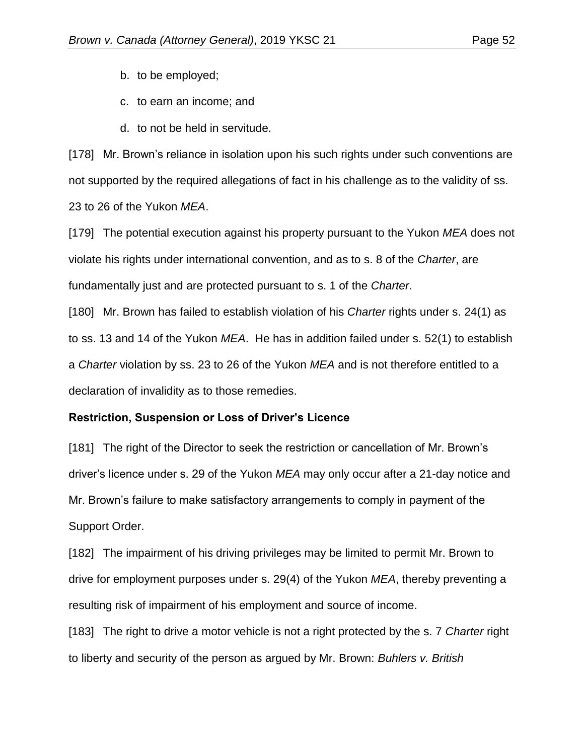- b. to be employed;
- c. to earn an income; and
- d. to not be held in servitude.

[178] Mr. Brown's reliance in isolation upon his such rights under such conventions are not supported by the required allegations of fact in his challenge as to the validity of ss. 23 to 26 of the Yukon *MEA*.

[179] The potential execution against his property pursuant to the Yukon *MEA* does not violate his rights under international convention, and as to s. 8 of the *Charter*, are fundamentally just and are protected pursuant to s. 1 of the *Charter*.

[180] Mr. Brown has failed to establish violation of his *Charter* rights under s. 24(1) as to ss. 13 and 14 of the Yukon *MEA*. He has in addition failed under s. 52(1) to establish a *Charter* violation by ss. 23 to 26 of the Yukon *MEA* and is not therefore entitled to a declaration of invalidity as to those remedies.

### **Restriction, Suspension or Loss of Driver's Licence**

[181] The right of the Director to seek the restriction or cancellation of Mr. Brown's driver's licence under s. 29 of the Yukon *MEA* may only occur after a 21-day notice and Mr. Brown's failure to make satisfactory arrangements to comply in payment of the Support Order.

[182] The impairment of his driving privileges may be limited to permit Mr. Brown to drive for employment purposes under s. 29(4) of the Yukon *MEA*, thereby preventing a resulting risk of impairment of his employment and source of income.

[183] The right to drive a motor vehicle is not a right protected by the s. 7 *Charter* right to liberty and security of the person as argued by Mr. Brown: *Buhlers v. British*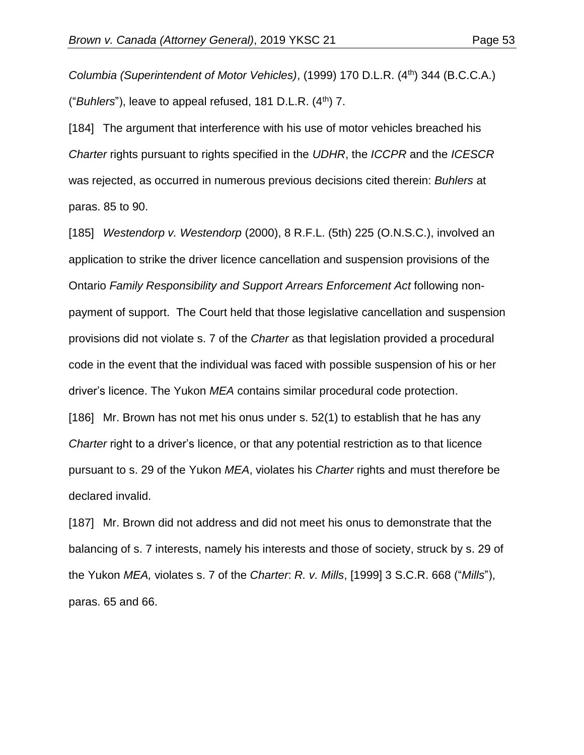*Columbia (Superintendent of Motor Vehicles)*, (1999) 170 D.L.R. (4th) 344 (B.C.C.A.) ("*Buhlers*"), leave to appeal refused, 181 D.L.R. (4<sup>th</sup>) 7.

[184] The argument that interference with his use of motor vehicles breached his *Charter* rights pursuant to rights specified in the *UDHR*, the *ICCPR* and the *ICESCR* was rejected, as occurred in numerous previous decisions cited therein: *Buhlers* at paras. 85 to 90.

[185] *Westendorp v. Westendorp* (2000), 8 R.F.L. (5th) 225 (O.N.S.C.), involved an application to strike the driver licence cancellation and suspension provisions of the Ontario *Family Responsibility and Support Arrears Enforcement Act* following nonpayment of support. The Court held that those legislative cancellation and suspension provisions did not violate s. 7 of the *Charter* as that legislation provided a procedural code in the event that the individual was faced with possible suspension of his or her driver's licence. The Yukon *MEA* contains similar procedural code protection. [186] Mr. Brown has not met his onus under s. 52(1) to establish that he has any *Charter* right to a driver's licence, or that any potential restriction as to that licence pursuant to s. 29 of the Yukon *MEA*, violates his *Charter* rights and must therefore be declared invalid.

[187] Mr. Brown did not address and did not meet his onus to demonstrate that the balancing of s. 7 interests, namely his interests and those of society, struck by s. 29 of the Yukon *MEA,* violates s. 7 of the *Charter*: *R. v. Mills*, [1999] 3 S.C.R. 668 ("*Mills*"), paras. 65 and 66.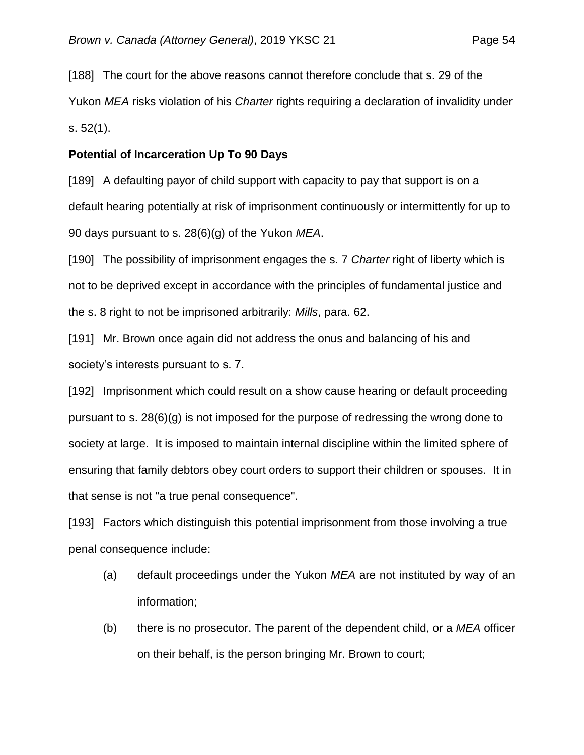[188] The court for the above reasons cannot therefore conclude that s. 29 of the Yukon *MEA* risks violation of his *Charter* rights requiring a declaration of invalidity under s. 52(1).

# **Potential of Incarceration Up To 90 Days**

[189] A defaulting payor of child support with capacity to pay that support is on a default hearing potentially at risk of imprisonment continuously or intermittently for up to 90 days pursuant to s. 28(6)(g) of the Yukon *MEA*.

[190] The possibility of imprisonment engages the s. 7 *Charter* right of liberty which is not to be deprived except in accordance with the principles of fundamental justice and the s. 8 right to not be imprisoned arbitrarily: *Mills*, para. 62.

[191] Mr. Brown once again did not address the onus and balancing of his and society's interests pursuant to s. 7.

[192] Imprisonment which could result on a show cause hearing or default proceeding pursuant to s. 28(6)(g) is not imposed for the purpose of redressing the wrong done to society at large. It is imposed to maintain internal discipline within the limited sphere of ensuring that family debtors obey court orders to support their children or spouses. It in that sense is not "a true penal consequence".

[193] Factors which distinguish this potential imprisonment from those involving a true penal consequence include:

- (a) default proceedings under the Yukon *MEA* are not instituted by way of an information;
- (b) there is no prosecutor. The parent of the dependent child, or a *MEA* officer on their behalf, is the person bringing Mr. Brown to court;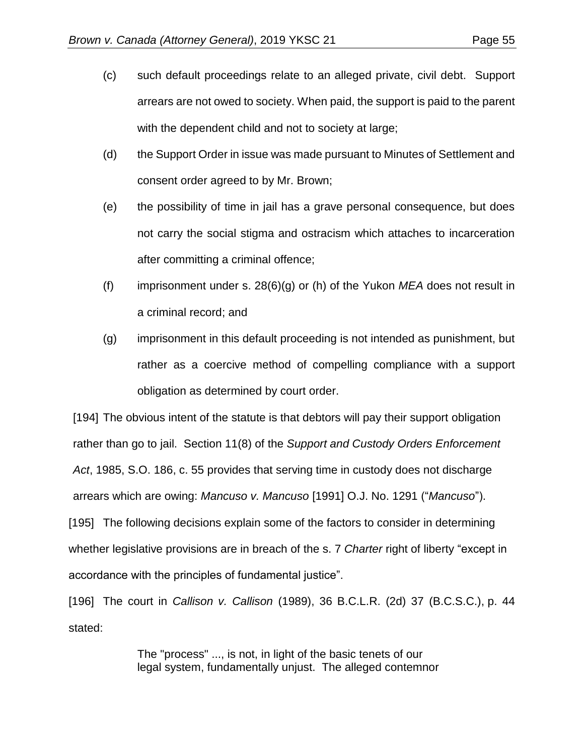- (c) such default proceedings relate to an alleged private, civil debt. Support arrears are not owed to society. When paid, the support is paid to the parent with the dependent child and not to society at large;
- (d) the Support Order in issue was made pursuant to Minutes of Settlement and consent order agreed to by Mr. Brown;
- (e) the possibility of time in jail has a grave personal consequence, but does not carry the social stigma and ostracism which attaches to incarceration after committing a criminal offence;
- (f) imprisonment under s. 28(6)(g) or (h) of the Yukon *MEA* does not result in a criminal record; and
- (g) imprisonment in this default proceeding is not intended as punishment, but rather as a coercive method of compelling compliance with a support obligation as determined by court order.

[194] The obvious intent of the statute is that debtors will pay their support obligation rather than go to jail. Section 11(8) of the *Support and Custody Orders Enforcement Act*, 1985, S.O. 186, c. 55 provides that serving time in custody does not discharge arrears which are owing: *Mancuso v. Mancuso* [1991] O.J. No. 1291 ("*Mancuso*"). [195] The following decisions explain some of the factors to consider in determining whether legislative provisions are in breach of the s. 7 *Charter* right of liberty "except in

accordance with the principles of fundamental justice".

[196] The court in *Callison v. Callison* (1989), 36 B.C.L.R. (2d) 37 (B.C.S.C.), p. 44 stated:

> The "process" ..., is not, in light of the basic tenets of our legal system, fundamentally unjust. The alleged contemnor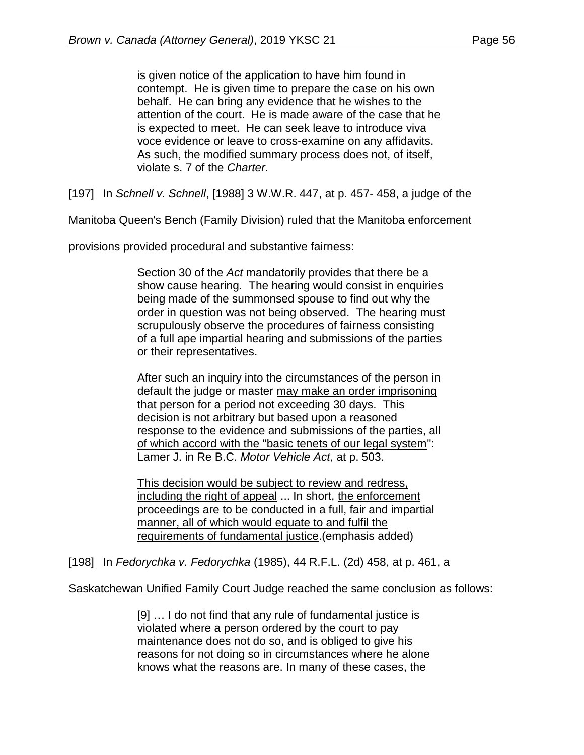is given notice of the application to have him found in contempt. He is given time to prepare the case on his own behalf. He can bring any evidence that he wishes to the attention of the court. He is made aware of the case that he is expected to meet. He can seek leave to introduce viva voce evidence or leave to cross-examine on any affidavits. As such, the modified summary process does not, of itself, violate s. 7 of the *Charter*.

[197] In *Schnell v. Schnell*, [\[1988\] 3 W.W.R. 447,](http://www.lexisnexis.com/ca/legal/search/runRemoteLink.do?linkInfo=F%23CA%23WWR%23sel1%251988%25vol%253%25year%251988%25page%25447%25sel2%253%25&A=0.5724571021564093&bct=A&risb=21_T28339477549&service=citation&langcountry=CA) at p. 457- 458, a judge of the

Manitoba Queen's Bench (Family Division) ruled that the Manitoba enforcement

provisions provided procedural and substantive fairness:

Section 30 of the *Act* mandatorily provides that there be a show cause hearing. The hearing would consist in enquiries being made of the summonsed spouse to find out why the order in question was not being observed. The hearing must scrupulously observe the procedures of fairness consisting of a full ape impartial hearing and submissions of the parties or their representatives.

After such an inquiry into the circumstances of the person in default the judge or master may make an order imprisoning that person for a period not exceeding 30 days. This decision is not arbitrary but based upon a reasoned response to the evidence and submissions of the parties, all of which accord with the "basic tenets of our legal system": Lamer J. in Re B.C. *Motor Vehicle Act*, at p. 503.

This decision would be subject to review and redress, including the right of appeal ... In short, the enforcement proceedings are to be conducted in a full, fair and impartial manner, all of which would equate to and fulfil the requirements of fundamental justice.(emphasis added)

[198] In *Fedorychka v. Fedorychka* [\(1985\), 44 R.F.L. \(2d\) 458,](http://www.lexisnexis.com/ca/legal/search/runRemoteLink.do?linkInfo=F%23CA%23RFL2%23sel1%251985%25vol%2544%25year%251985%25decisiondate%251985%25page%25458%25sel2%2544%25&A=0.4871241533184748&bct=A&risb=21_T28339477549&service=citation&langcountry=CA) at p. 461, a

Saskatchewan Unified Family Court Judge reached the same conclusion as follows:

[9] … I do not find that any rule of fundamental justice is violated where a person ordered by the court to pay maintenance does not do so, and is obliged to give his reasons for not doing so in circumstances where he alone knows what the reasons are. In many of these cases, the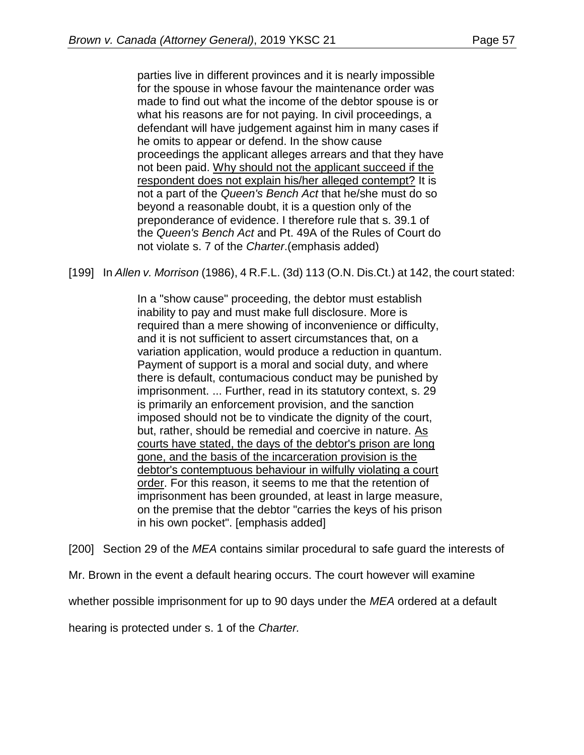parties live in different provinces and it is nearly impossible for the spouse in whose favour the maintenance order was made to find out what the income of the debtor spouse is or what his reasons are for not paying. In civil proceedings, a defendant will have judgement against him in many cases if he omits to appear or defend. In the show cause proceedings the applicant alleges arrears and that they have not been paid. Why should not the applicant succeed if the respondent does not explain his/her alleged contempt? It is not a part of the *Queen's Bench Act* that he/she must do so beyond a reasonable doubt, it is a question only of the preponderance of evidence. I therefore rule that s. 39.1 of the *Queen's Bench Act* and Pt. 49A of the Rules of Court do not violate s. 7 of the *Charter*.(emphasis added)

[199] In *Allen v. Morrison* [\(1986\), 4 R.F.L. \(3d\) 113](http://www.lexisnexis.com/ca/legal/search/runRemoteLink.do?linkInfo=F%23CA%23RFL3%23sel1%251986%25vol%254%25year%251986%25decisiondate%251986%25page%25113%25sel2%254%25&A=0.4446490915226311&bct=A&risb=21_T28339477549&service=citation&langcountry=CA) (O.N. Dis.Ct.) at 142, the court stated:

In a "show cause" proceeding, the debtor must establish inability to pay and must make full disclosure. More is required than a mere showing of inconvenience or difficulty, and it is not sufficient to assert circumstances that, on a variation application, would produce a reduction in quantum. Payment of support is a moral and social duty, and where there is default, contumacious conduct may be punished by imprisonment. ... Further, read in its statutory context, s. 29 is primarily an enforcement provision, and the sanction imposed should not be to vindicate the dignity of the court, but, rather, should be remedial and coercive in nature. As courts have stated, the days of the debtor's prison are long gone, and the basis of the incarceration provision is the debtor's contemptuous behaviour in wilfully violating a court order. For this reason, it seems to me that the retention of imprisonment has been grounded, at least in large measure, on the premise that the debtor "carries the keys of his prison in his own pocket". [emphasis added]

[200] Section 29 of the *MEA* contains similar procedural to safe guard the interests of

Mr. Brown in the event a default hearing occurs. The court however will examine

whether possible imprisonment for up to 90 days under the *MEA* ordered at a default

hearing is protected under s. 1 of the *Charter.*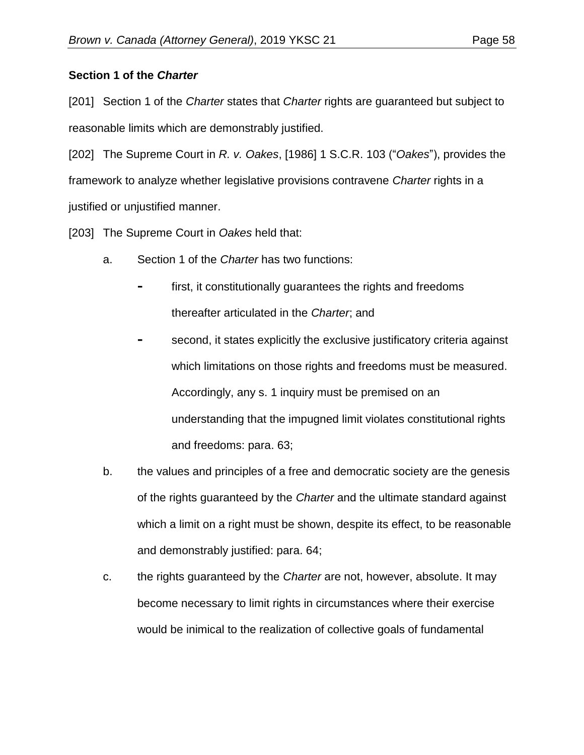# **Section 1 of the** *Charter*

[201] Section 1 of the *Charter* states that *Charter* rights are guaranteed but subject to reasonable limits which are demonstrably justified.

[202] The Supreme Court in *R. v. Oakes*, [1986] 1 S.C.R. 103 ("*Oakes*"), provides the framework to analyze whether legislative provisions contravene *Charter* rights in a justified or unjustified manner.

[203] The Supreme Court in *Oakes* held that:

- a. Section 1 of the *Charter* has two functions:
	- first, it constitutionally guarantees the rights and freedoms thereafter articulated in the *Charter*; and
	- **-** second, it states explicitly the exclusive justificatory criteria against which limitations on those rights and freedoms must be measured. Accordingly, any s. 1 inquiry must be premised on an understanding that the impugned limit violates constitutional rights and freedoms: para. 63;
- b. the values and principles of a free and democratic society are the genesis of the rights guaranteed by the *Charter* and the ultimate standard against which a limit on a right must be shown, despite its effect, to be reasonable and demonstrably justified: para. 64;
- c. the rights guaranteed by the *Charter* are not, however, absolute. It may become necessary to limit rights in circumstances where their exercise would be inimical to the realization of collective goals of fundamental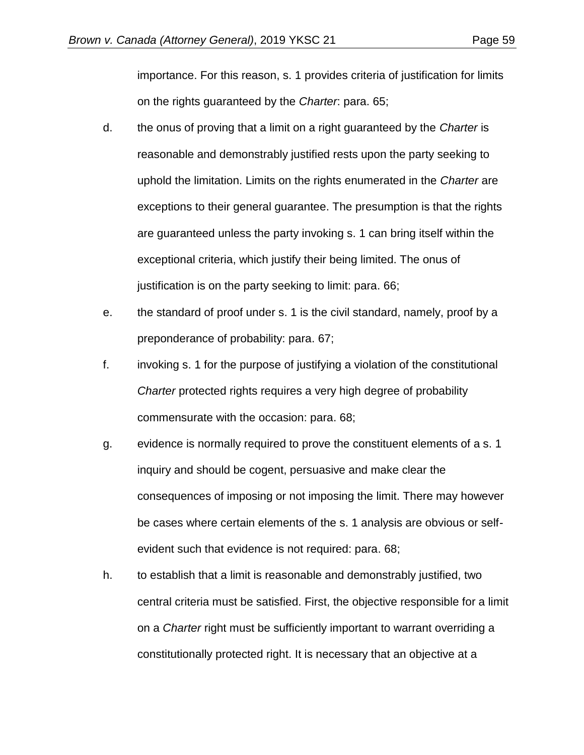importance. For this reason, s. 1 provides criteria of justification for limits on the rights guaranteed by the *Charter*: para. 65;

- d. the onus of proving that a limit on a right guaranteed by the *Charter* is reasonable and demonstrably justified rests upon the party seeking to uphold the limitation. Limits on the rights enumerated in the *Charter* are exceptions to their general guarantee. The presumption is that the rights are guaranteed unless the party invoking s. 1 can bring itself within the exceptional criteria, which justify their being limited. The onus of justification is on the party seeking to limit: para. 66;
- e. the standard of proof under s. 1 is the civil standard, namely, proof by a preponderance of probability: para. 67;
- f. invoking s. 1 for the purpose of justifying a violation of the constitutional *Charter* protected rights requires a very high degree of probability commensurate with the occasion: para. 68;
- g. evidence is normally required to prove the constituent elements of a s. 1 inquiry and should be cogent, persuasive and make clear the consequences of imposing or not imposing the limit. There may however be cases where certain elements of the s. 1 analysis are obvious or selfevident such that evidence is not required: para. 68;
- h. to establish that a limit is reasonable and demonstrably justified, two central criteria must be satisfied. First, the objective responsible for a limit on a *Charter* right must be sufficiently important to warrant overriding a constitutionally protected right. It is necessary that an objective at a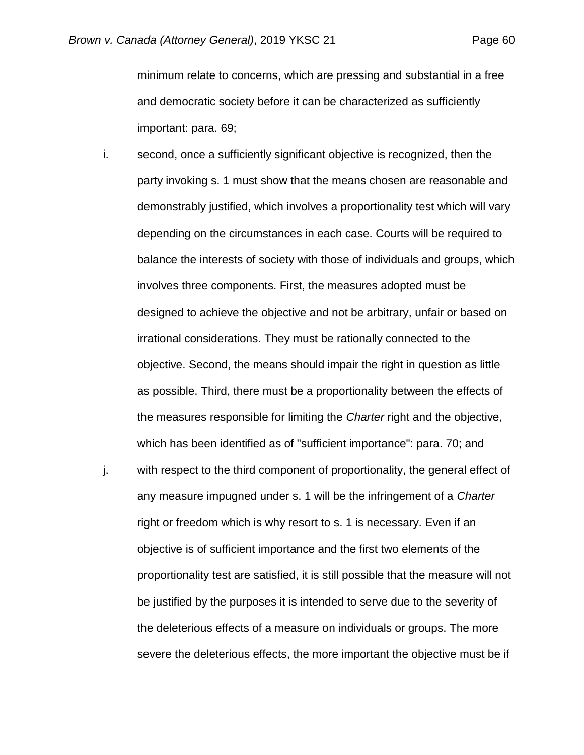minimum relate to concerns, which are pressing and substantial in a free and democratic society before it can be characterized as sufficiently important: para. 69;

- i. second, once a sufficiently significant objective is recognized, then the party invoking s. 1 must show that the means chosen are reasonable and demonstrably justified, which involves a proportionality test which will vary depending on the circumstances in each case. Courts will be required to balance the interests of society with those of individuals and groups, which involves three components. First, the measures adopted must be designed to achieve the objective and not be arbitrary, unfair or based on irrational considerations. They must be rationally connected to the objective. Second, the means should impair the right in question as little as possible. Third, there must be a proportionality between the effects of the measures responsible for limiting the *Charter* right and the objective, which has been identified as of "sufficient importance": para. 70; and
- j. with respect to the third component of proportionality, the general effect of any measure impugned under s. 1 will be the infringement of a *Charter* right or freedom which is why resort to s. 1 is necessary. Even if an objective is of sufficient importance and the first two elements of the proportionality test are satisfied, it is still possible that the measure will not be justified by the purposes it is intended to serve due to the severity of the deleterious effects of a measure on individuals or groups. The more severe the deleterious effects, the more important the objective must be if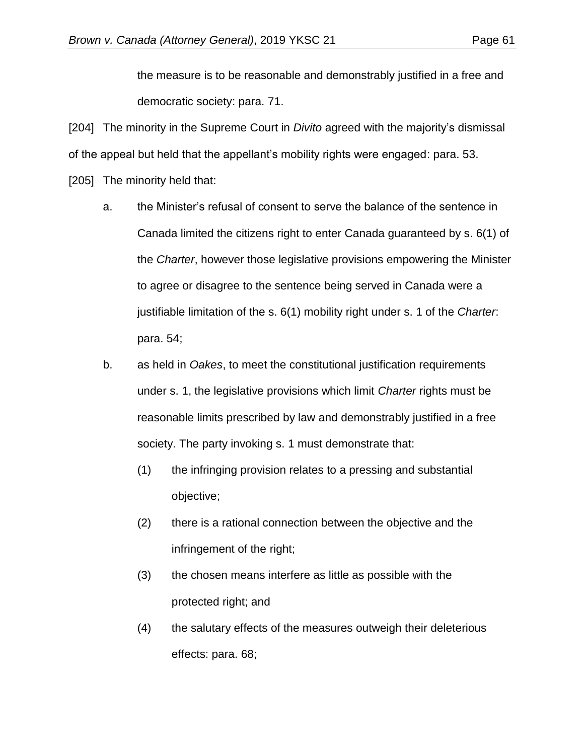the measure is to be reasonable and demonstrably justified in a free and democratic society: para. 71.

[204] The minority in the Supreme Court in *Divito* agreed with the majority's dismissal of the appeal but held that the appellant's mobility rights were engaged: para. 53.

[205] The minority held that:

- a. the Minister's refusal of consent to serve the balance of the sentence in Canada limited the citizens right to enter Canada guaranteed by s. 6(1) of the *Charter*, however those legislative provisions empowering the Minister to agree or disagree to the sentence being served in Canada were a justifiable limitation of the s. 6(1) mobility right under s. 1 of the *Charter*: para. 54;
- b. as held in *Oakes*, to meet the constitutional justification requirements under s. 1, the legislative provisions which limit *Charter* rights must be reasonable limits prescribed by law and demonstrably justified in a free society. The party invoking s. 1 must demonstrate that:
	- (1) the infringing provision relates to a pressing and substantial objective;
	- (2) there is a rational connection between the objective and the infringement of the right;
	- (3) the chosen means interfere as little as possible with the protected right; and
	- (4) the salutary effects of the measures outweigh their deleterious effects: para. 68;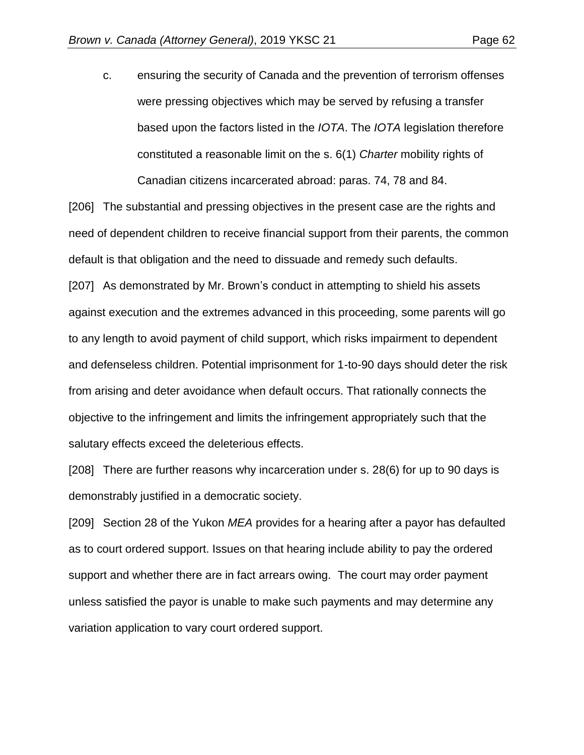c. ensuring the security of Canada and the prevention of terrorism offenses were pressing objectives which may be served by refusing a transfer based upon the factors listed in the *IOTA*. The *IOTA* legislation therefore constituted a reasonable limit on the s. 6(1) *Charter* mobility rights of Canadian citizens incarcerated abroad: paras. 74, 78 and 84.

[206] The substantial and pressing objectives in the present case are the rights and need of dependent children to receive financial support from their parents, the common default is that obligation and the need to dissuade and remedy such defaults. [207] As demonstrated by Mr. Brown's conduct in attempting to shield his assets against execution and the extremes advanced in this proceeding, some parents will go to any length to avoid payment of child support, which risks impairment to dependent and defenseless children. Potential imprisonment for 1-to-90 days should deter the risk from arising and deter avoidance when default occurs. That rationally connects the objective to the infringement and limits the infringement appropriately such that the salutary effects exceed the deleterious effects.

[208] There are further reasons why incarceration under s. 28(6) for up to 90 days is demonstrably justified in a democratic society.

[209] Section 28 of the Yukon *MEA* provides for a hearing after a payor has defaulted as to court ordered support. Issues on that hearing include ability to pay the ordered support and whether there are in fact arrears owing. The court may order payment unless satisfied the payor is unable to make such payments and may determine any variation application to vary court ordered support.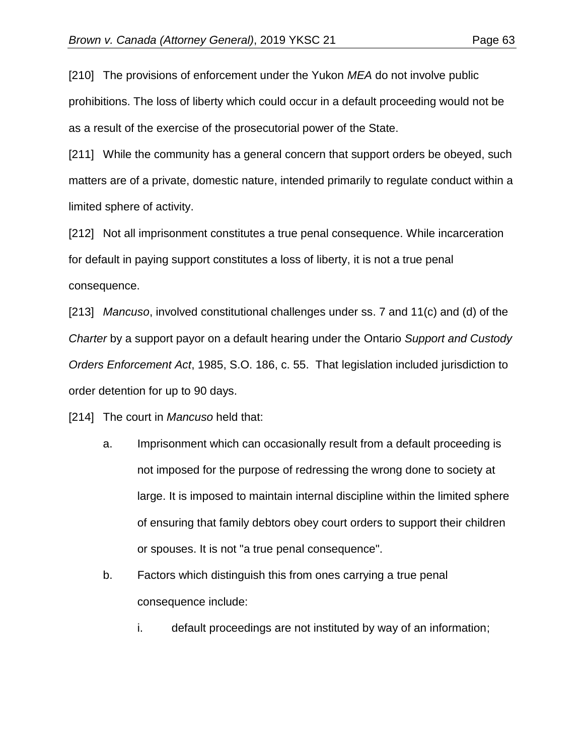[210] The provisions of enforcement under the Yukon *MEA* do not involve public prohibitions. The loss of liberty which could occur in a default proceeding would not be as a result of the exercise of the prosecutorial power of the State.

[211] While the community has a general concern that support orders be obeyed, such matters are of a private, domestic nature, intended primarily to regulate conduct within a limited sphere of activity.

[212] Not all imprisonment constitutes a true penal consequence. While incarceration for default in paying support constitutes a loss of liberty, it is not a true penal consequence.

[213] *Mancuso*, involved constitutional challenges under ss. 7 and 11(c) and (d) of the *Charter* by a support payor on a default hearing under the Ontario *Support and Custody Orders Enforcement Act*, 1985, S.O. 186, c. 55. That legislation included jurisdiction to order detention for up to 90 days.

[214] The court in *Mancuso* held that:

- a. Imprisonment which can occasionally result from a default proceeding is not imposed for the purpose of redressing the wrong done to society at large. It is imposed to maintain internal discipline within the limited sphere of ensuring that family debtors obey court orders to support their children or spouses. It is not "a true penal consequence".
- b. Factors which distinguish this from ones carrying a true penal consequence include:
	- i. default proceedings are not instituted by way of an information;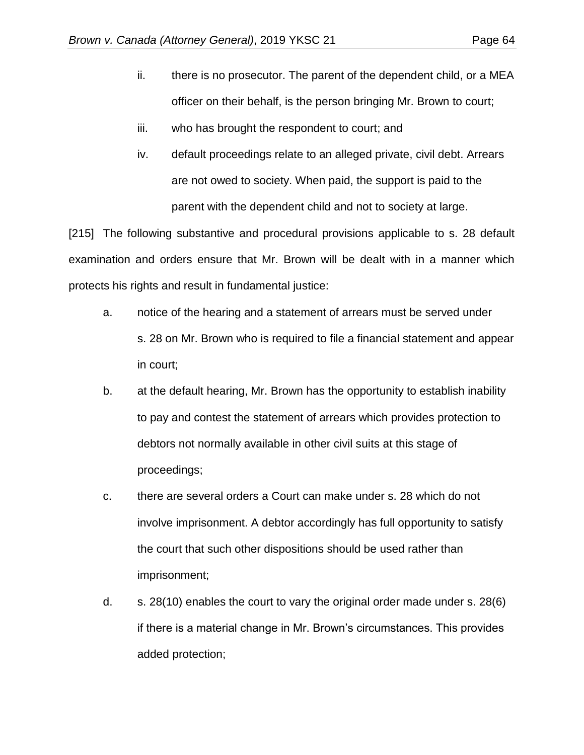- ii. there is no prosecutor. The parent of the dependent child, or a MEA officer on their behalf, is the person bringing Mr. Brown to court;
- iii. who has brought the respondent to court; and
- iv. default proceedings relate to an alleged private, civil debt. Arrears are not owed to society. When paid, the support is paid to the parent with the dependent child and not to society at large.

[215] The following substantive and procedural provisions applicable to s. 28 default examination and orders ensure that Mr. Brown will be dealt with in a manner which protects his rights and result in fundamental justice:

- a. notice of the hearing and a statement of arrears must be served under s. 28 on Mr. Brown who is required to file a financial statement and appear in court;
- b. at the default hearing, Mr. Brown has the opportunity to establish inability to pay and contest the statement of arrears which provides protection to debtors not normally available in other civil suits at this stage of proceedings;
- c. there are several orders a Court can make under s. 28 which do not involve imprisonment. A debtor accordingly has full opportunity to satisfy the court that such other dispositions should be used rather than imprisonment;
- d. s. 28(10) enables the court to vary the original order made under s. 28(6) if there is a material change in Mr. Brown's circumstances. This provides added protection;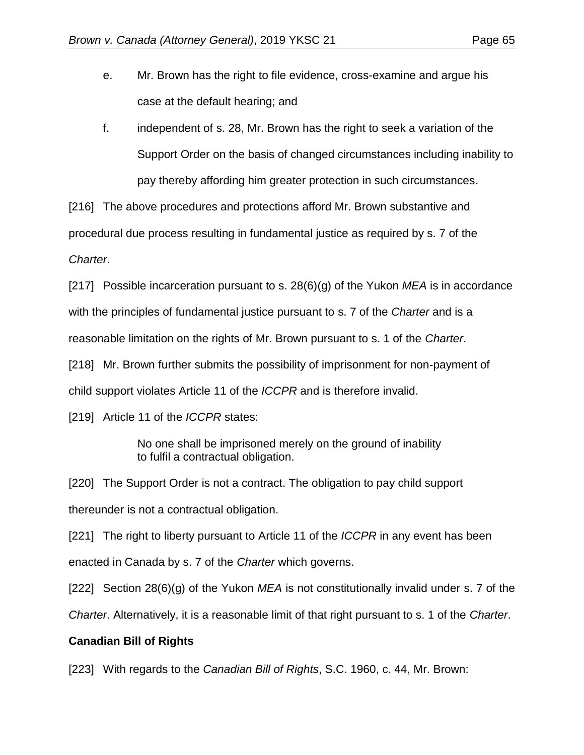- e. Mr. Brown has the right to file evidence, cross-examine and argue his case at the default hearing; and
- f. independent of s. 28, Mr. Brown has the right to seek a variation of the Support Order on the basis of changed circumstances including inability to pay thereby affording him greater protection in such circumstances.

[216] The above procedures and protections afford Mr. Brown substantive and procedural due process resulting in fundamental justice as required by s. 7 of the *Charter*.

[217] Possible incarceration pursuant to s. 28(6)(g) of the Yukon *MEA* is in accordance with the principles of fundamental justice pursuant to s. 7 of the *Charter* and is a reasonable limitation on the rights of Mr. Brown pursuant to s. 1 of the *Charter*. [218] Mr. Brown further submits the possibility of imprisonment for non-payment of

child support violates Article 11 of the *ICCPR* and is therefore invalid.

[219] Article 11 of the *ICCPR* states:

No one shall be imprisoned merely on the ground of inability to fulfil a contractual obligation.

[220] The Support Order is not a contract. The obligation to pay child support thereunder is not a contractual obligation.

[221] The right to liberty pursuant to Article 11 of the *ICCPR* in any event has been enacted in Canada by s. 7 of the *Charter* which governs.

[222] Section 28(6)(g) of the Yukon *MEA* is not constitutionally invalid under s. 7 of the

*Charter*. Alternatively, it is a reasonable limit of that right pursuant to s. 1 of the *Charter*.

# **Canadian Bill of Rights**

[223] With regards to the *Canadian Bill of Rights*, S.C. 1960, c. 44, Mr. Brown: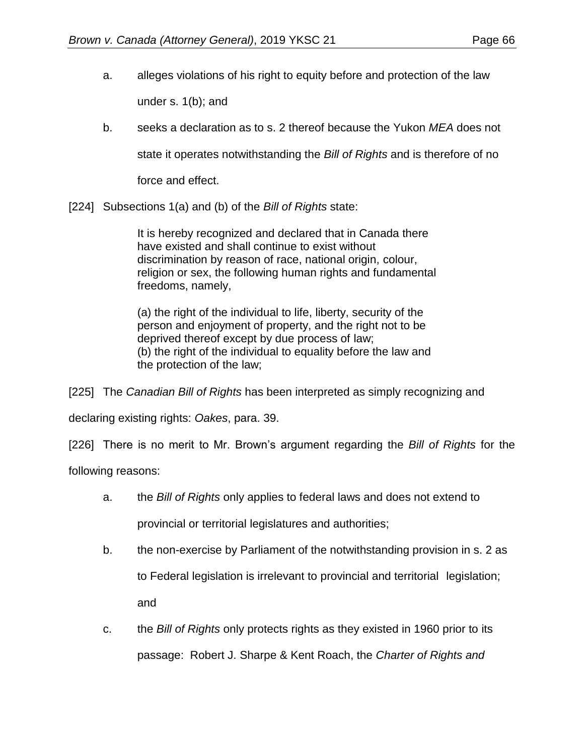- a. alleges violations of his right to equity before and protection of the law under s. 1(b); and
- b. seeks a declaration as to s. 2 thereof because the Yukon *MEA* does not

state it operates notwithstanding the *Bill of Rights* and is therefore of no

force and effect.

[224] Subsections 1(a) and (b) of the *Bill of Rights* state:

It is hereby recognized and declared that in Canada there have existed and shall continue to exist without discrimination by reason of race, national origin, colour, religion or sex, the following human rights and fundamental freedoms, namely,

(a) the right of the individual to life, liberty, security of the person and enjoyment of property, and the right not to be deprived thereof except by due process of law; (b) the right of the individual to equality before the law and the protection of the law;

[225] The *Canadian Bill of Rights* has been interpreted as simply recognizing and

declaring existing rights: *Oakes*, para. 39.

[226] There is no merit to Mr. Brown's argument regarding the *Bill of Rights* for the

following reasons:

- a. the *Bill of Rights* only applies to federal laws and does not extend to provincial or territorial legislatures and authorities;
- b. the non-exercise by Parliament of the notwithstanding provision in s. 2 as to Federal legislation is irrelevant to provincial and territorial legislation; and
- c. the *Bill of Rights* only protects rights as they existed in 1960 prior to its passage: Robert J. Sharpe & Kent Roach, the *Charter of Rights and*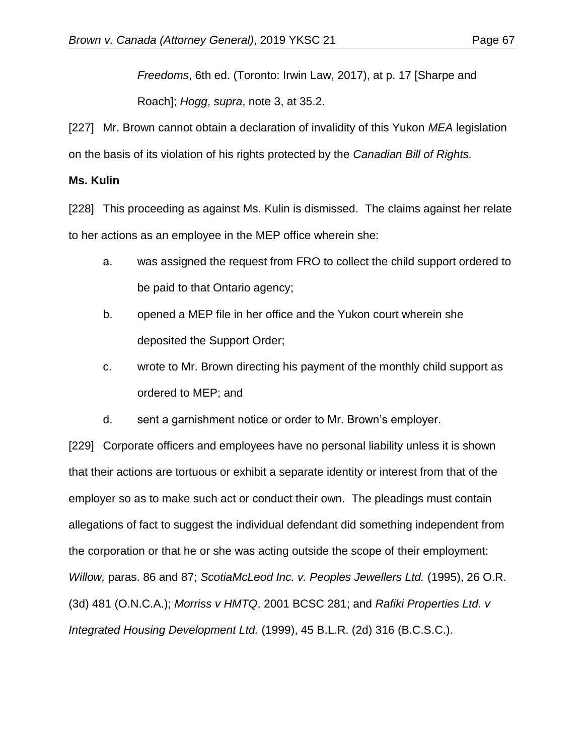*Freedoms*, 6th ed. (Toronto: Irwin Law, 2017), at p. 17 [Sharpe and

Roach]; *Hogg*, *supra*, note 3, at 35.2.

[227] Mr. Brown cannot obtain a declaration of invalidity of this Yukon *MEA* legislation on the basis of its violation of his rights protected by the *Canadian Bill of Rights.* 

# **Ms. Kulin**

[228] This proceeding as against Ms. Kulin is dismissed. The claims against her relate to her actions as an employee in the MEP office wherein she:

- a. was assigned the request from FRO to collect the child support ordered to be paid to that Ontario agency;
- b. opened a MEP file in her office and the Yukon court wherein she deposited the Support Order;
- c. wrote to Mr. Brown directing his payment of the monthly child support as ordered to MEP; and
- d. sent a garnishment notice or order to Mr. Brown's employer.

[229] Corporate officers and employees have no personal liability unless it is shown that their actions are tortuous or exhibit a separate identity or interest from that of the employer so as to make such act or conduct their own. The pleadings must contain allegations of fact to suggest the individual defendant did something independent from the corporation or that he or she was acting outside the scope of their employment: *Willow,* paras. 86 and 87; *ScotiaMcLeod Inc. v. Peoples Jewellers Ltd.* [\(1995\), 26 O.R.](http://www.lexisnexis.com/ca/legal/search/runRemoteLink.do?linkInfo=F%23CA%23OR3%23sel1%251995%25vol%2526%25year%251995%25decisiondate%251995%25page%25481%25sel2%2526%25&A=0.34317912139613993&bct=A&risb=21_T28559028386&service=citation&langcountry=CA) [\(3d\) 481](http://www.lexisnexis.com/ca/legal/search/runRemoteLink.do?linkInfo=F%23CA%23OR3%23sel1%251995%25vol%2526%25year%251995%25decisiondate%251995%25page%25481%25sel2%2526%25&A=0.34317912139613993&bct=A&risb=21_T28559028386&service=citation&langcountry=CA) (O.N.C.A.); *Morriss v HMTQ*, [2001 BCSC 281;](http://www.lexisnexis.com/ca/legal/search/runRemoteLink.do?linkInfo=F%23CA%23BCSC%23sel1%252001%25onum%25281%25year%252001%25decisiondate%252001%25&A=0.03661818663785266&bct=A&risb=21_T28559028386&service=citation&langcountry=CA) and *Rafiki Properties Ltd. v Integrated Housing Development Ltd.* [\(1999\), 45 B.L.R.](http://www.lexisnexis.com/ca/legal/search/runRemoteLink.do?linkInfo=F%23CA%23BLR2%23sel1%251999%25vol%2545%25year%251999%25decisiondate%251999%25page%25316%25sel2%2545%25&A=0.9198891307849577&bct=A&risb=21_T28559028386&service=citation&langcountry=CA) (2d) 316 (B.C.S.C.).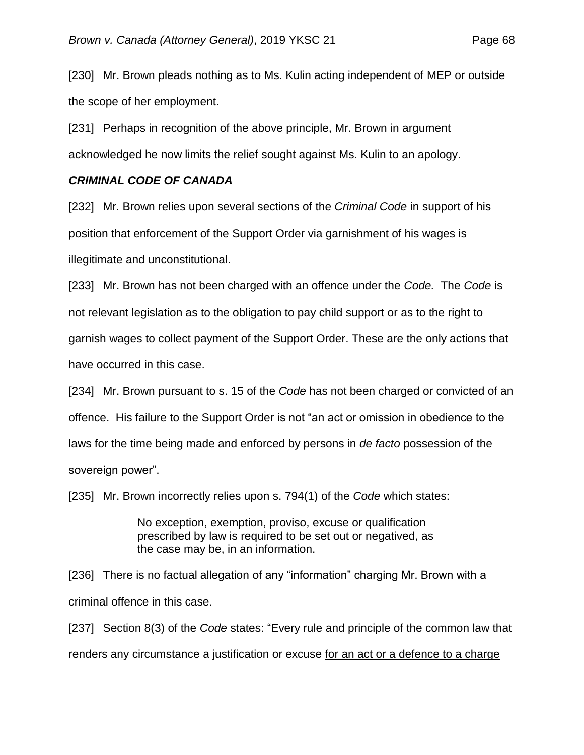[230] Mr. Brown pleads nothing as to Ms. Kulin acting independent of MEP or outside the scope of her employment.

[231] Perhaps in recognition of the above principle, Mr. Brown in argument acknowledged he now limits the relief sought against Ms. Kulin to an apology.

# *CRIMINAL CODE OF CANADA*

[232] Mr. Brown relies upon several sections of the *Criminal Code* in support of his position that enforcement of the Support Order via garnishment of his wages is illegitimate and unconstitutional.

[233] Mr. Brown has not been charged with an offence under the *Code.* The *Code* is not relevant legislation as to the obligation to pay child support or as to the right to garnish wages to collect payment of the Support Order. These are the only actions that have occurred in this case.

[234] Mr. Brown pursuant to s. 15 of the *Code* has not been charged or convicted of an offence. His failure to the Support Order is not "an act or omission in obedience to the laws for the time being made and enforced by persons in *de facto* possession of the sovereign power".

[235] Mr. Brown incorrectly relies upon s. 794(1) of the *Code* which states:

No exception, exemption, proviso, excuse or qualification prescribed by law is required to be set out or negatived, as the case may be, in an information.

[236] There is no factual allegation of any "information" charging Mr. Brown with a criminal offence in this case.

[237] Section 8(3) of the *Code* states: "Every rule and principle of the common law that renders any circumstance a justification or excuse for an act or a defence to a charge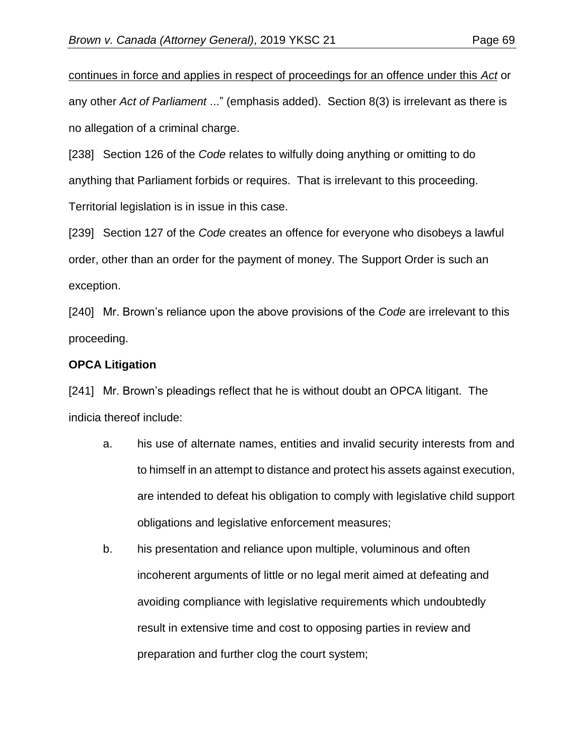continues in force and applies in respect of proceedings for an offence under this *Act* or any other *Act of Parliament* ..." (emphasis added). Section 8(3) is irrelevant as there is no allegation of a criminal charge.

[238] Section 126 of the *Code* relates to wilfully doing anything or omitting to do anything that Parliament forbids or requires. That is irrelevant to this proceeding. Territorial legislation is in issue in this case.

[239] Section 127 of the *Code* creates an offence for everyone who disobeys a lawful order, other than an order for the payment of money. The Support Order is such an exception.

[240] Mr. Brown's reliance upon the above provisions of the *Code* are irrelevant to this proceeding.

### **OPCA Litigation**

[241] Mr. Brown's pleadings reflect that he is without doubt an OPCA litigant. The indicia thereof include:

- a. his use of alternate names, entities and invalid security interests from and to himself in an attempt to distance and protect his assets against execution, are intended to defeat his obligation to comply with legislative child support obligations and legislative enforcement measures;
- b. his presentation and reliance upon multiple, voluminous and often incoherent arguments of little or no legal merit aimed at defeating and avoiding compliance with legislative requirements which undoubtedly result in extensive time and cost to opposing parties in review and preparation and further clog the court system;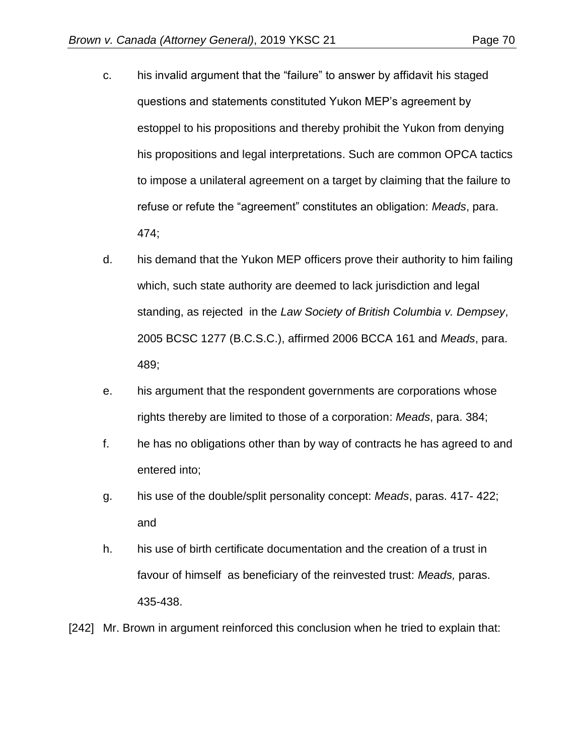- c. his invalid argument that the "failure" to answer by affidavit his staged questions and statements constituted Yukon MEP's agreement by estoppel to his propositions and thereby prohibit the Yukon from denying his propositions and legal interpretations. Such are common OPCA tactics to impose a unilateral agreement on a target by claiming that the failure to refuse or refute the "agreement" constitutes an obligation: *Meads*, para. 474;
- d. his demand that the Yukon MEP officers prove their authority to him failing which, such state authority are deemed to lack jurisdiction and legal standing, as rejected in the *Law Society of British Columbia v. Dempsey*, 2005 BCSC 1277 (B.C.S.C.), affirmed 2006 BCCA 161 and *Meads*, para. 489;
- e. his argument that the respondent governments are corporations whose rights thereby are limited to those of a corporation: *Meads*, para. 384;
- f. he has no obligations other than by way of contracts he has agreed to and entered into;
- g. his use of the double/split personality concept: *Meads*, paras. 417- 422; and
- h. his use of birth certificate documentation and the creation of a trust in favour of himself as beneficiary of the reinvested trust: *Meads,* paras. 435-438.

[242] Mr. Brown in argument reinforced this conclusion when he tried to explain that: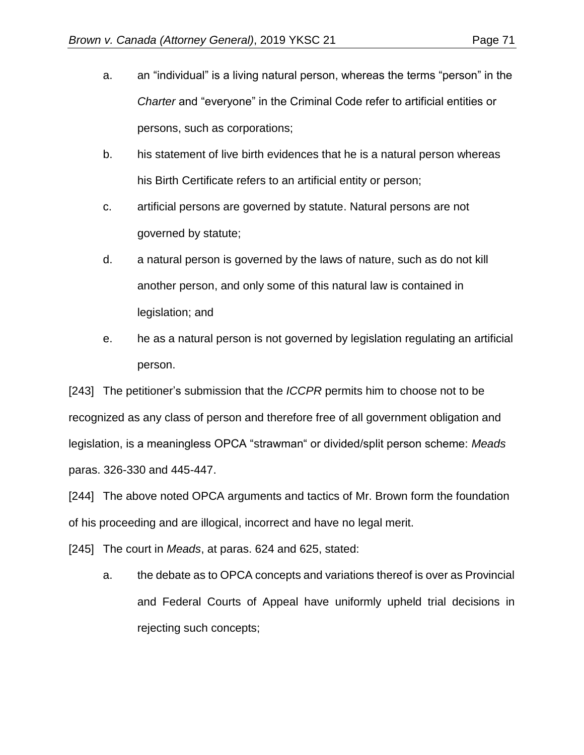- a. an "individual" is a living natural person, whereas the terms "person" in the *Charter* and "everyone" in the Criminal Code refer to artificial entities or persons, such as corporations;
- b. his statement of live birth evidences that he is a natural person whereas his Birth Certificate refers to an artificial entity or person;
- c. artificial persons are governed by statute. Natural persons are not governed by statute;
- d. a natural person is governed by the laws of nature, such as do not kill another person, and only some of this natural law is contained in legislation; and
- e. he as a natural person is not governed by legislation regulating an artificial person.

[243] The petitioner's submission that the *ICCPR* permits him to choose not to be recognized as any class of person and therefore free of all government obligation and legislation, is a meaningless OPCA "strawman" or divided/split person scheme: *Meads* paras. 326-330 and 445-447.

[244] The above noted OPCA arguments and tactics of Mr. Brown form the foundation of his proceeding and are illogical, incorrect and have no legal merit.

[245] The court in *Meads*, at paras. 624 and 625, stated:

a. the debate as to OPCA concepts and variations thereof is over as Provincial and Federal Courts of Appeal have uniformly upheld trial decisions in rejecting such concepts;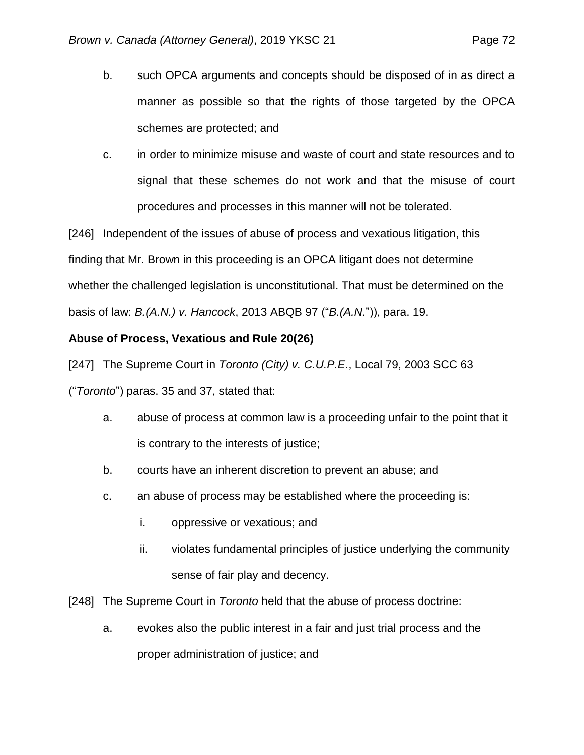- b. such OPCA arguments and concepts should be disposed of in as direct a manner as possible so that the rights of those targeted by the OPCA schemes are protected; and
- c. in order to minimize misuse and waste of court and state resources and to signal that these schemes do not work and that the misuse of court procedures and processes in this manner will not be tolerated.

[246] Independent of the issues of abuse of process and vexatious litigation, this finding that Mr. Brown in this proceeding is an OPCA litigant does not determine whether the challenged legislation is unconstitutional. That must be determined on the basis of law: *B.(A.N.) v. Hancock*, 2013 ABQB 97 ("*B.(A.N.*")), para. 19.

# **Abuse of Process, Vexatious and Rule 20(26)**

[247] The Supreme Court in *Toronto (City) v. C.U.P.E.*, Local 79, 2003 SCC 63 ("*Toronto*") paras. 35 and 37, stated that:

- a. abuse of process at common law is a proceeding unfair to the point that it is contrary to the interests of justice;
- b. courts have an inherent discretion to prevent an abuse; and
- c. an abuse of process may be established where the proceeding is:
	- i. oppressive or vexatious; and
	- ii. violates fundamental principles of justice underlying the community sense of fair play and decency.

[248] The Supreme Court in *Toronto* held that the abuse of process doctrine:

a. evokes also the public interest in a fair and just trial process and the proper administration of justice; and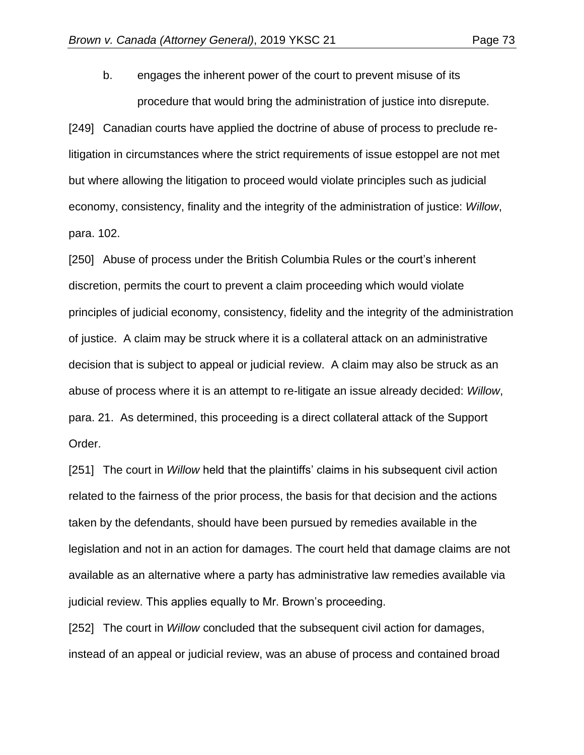b. engages the inherent power of the court to prevent misuse of its

procedure that would bring the administration of justice into disrepute.

[249] Canadian courts have applied the doctrine of abuse of process to preclude relitigation in circumstances where the strict requirements of issue estoppel are not met but where allowing the litigation to proceed would violate principles such as judicial economy, consistency, finality and the integrity of the administration of justice: *Willow*, para. 102.

[250] Abuse of process under the British Columbia Rules or the court's inherent discretion, permits the court to prevent a claim proceeding which would violate principles of judicial economy, consistency, fidelity and the integrity of the administration of justice. A claim may be struck where it is a collateral attack on an administrative decision that is subject to appeal or judicial review. A claim may also be struck as an abuse of process where it is an attempt to re-litigate an issue already decided: *Willow*, para. 21. As determined, this proceeding is a direct collateral attack of the Support Order.

[251] The court in *Willow* held that the plaintiffs' claims in his subsequent civil action related to the fairness of the prior process, the basis for that decision and the actions taken by the defendants, should have been pursued by remedies available in the legislation and not in an action for damages. The court held that damage claims are not available as an alternative where a party has administrative law remedies available via judicial review. This applies equally to Mr. Brown's proceeding.

[252] The court in *Willow* concluded that the subsequent civil action for damages, instead of an appeal or judicial review, was an abuse of process and contained broad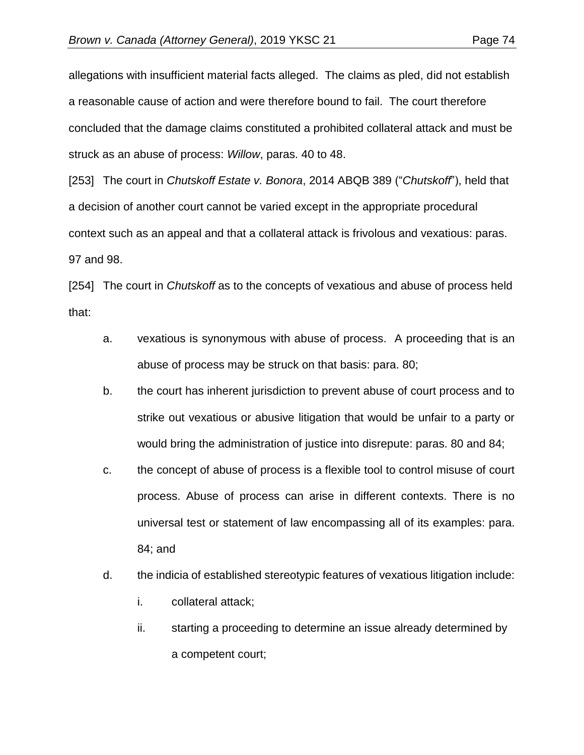allegations with insufficient material facts alleged. The claims as pled, did not establish a reasonable cause of action and were therefore bound to fail. The court therefore concluded that the damage claims constituted a prohibited collateral attack and must be struck as an abuse of process: *Willow*, paras. 40 to 48.

[253] The court in *Chutskoff Estate v. Bonora*, 2014 ABQB 389 ("*Chutskoff*"), held that a decision of another court cannot be varied except in the appropriate procedural context such as an appeal and that a collateral attack is frivolous and vexatious: paras. 97 and 98.

[254] The court in *Chutskoff* as to the concepts of vexatious and abuse of process held that:

- a. vexatious is synonymous with abuse of process. A proceeding that is an abuse of process may be struck on that basis: para. 80;
- b. the court has inherent jurisdiction to prevent abuse of court process and to strike out vexatious or abusive litigation that would be unfair to a party or would bring the administration of justice into disrepute: paras. 80 and 84;
- c. the concept of abuse of process is a flexible tool to control misuse of court process. Abuse of process can arise in different contexts. There is no universal test or statement of law encompassing all of its examples: para. 84; and
- d. the indicia of established stereotypic features of vexatious litigation include:
	- i. collateral attack;
	- ii. starting a proceeding to determine an issue already determined by a competent court;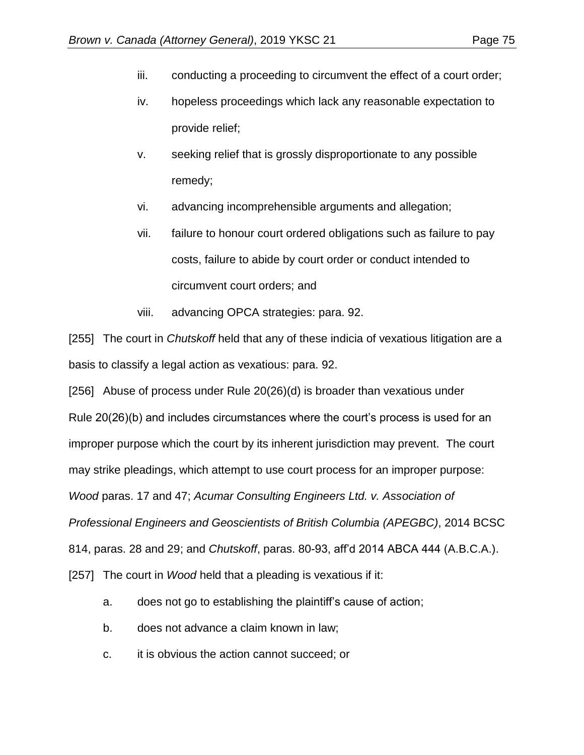- iii. conducting a proceeding to circumvent the effect of a court order;
- iv. hopeless proceedings which lack any reasonable expectation to provide relief;
- v. seeking relief that is grossly disproportionate to any possible remedy;
- vi. advancing incomprehensible arguments and allegation;
- vii. failure to honour court ordered obligations such as failure to pay costs, failure to abide by court order or conduct intended to circumvent court orders; and
- viii. advancing OPCA strategies: para. 92.

[255] The court in *Chutskoff* held that any of these indicia of vexatious litigation are a basis to classify a legal action as vexatious: para. 92.

[256] Abuse of process under Rule 20(26)(d) is broader than vexatious under Rule 20(26)(b) and includes circumstances where the court's process is used for an improper purpose which the court by its inherent jurisdiction may prevent. The court may strike pleadings, which attempt to use court process for an improper purpose: *Wood* paras. 17 and 47; *Acumar Consulting Engineers Ltd. v. Association of Professional Engineers and Geoscientists of British Columbia (APEGBC)*, 2014 BCSC 814, paras. 28 and 29; and *Chutskoff*, paras. 80-93, aff'd 2014 ABCA 444 (A.B.C.A.). [257] The court in *Wood* held that a pleading is vexatious if it:

- a. does not go to establishing the plaintiff's cause of action;
- b. does not advance a claim known in law;
- c. it is obvious the action cannot succeed; or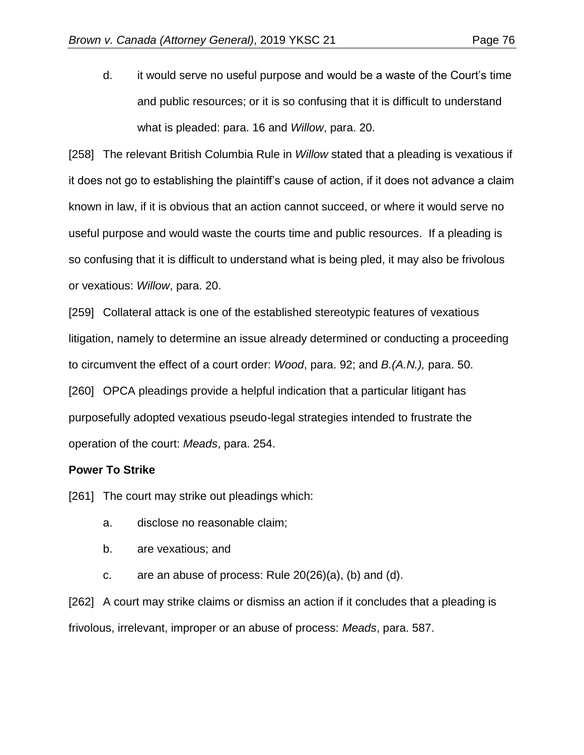d. it would serve no useful purpose and would be a waste of the Court's time and public resources; or it is so confusing that it is difficult to understand what is pleaded: para. 16 and *Willow*, para. 20.

[258] The relevant British Columbia Rule in *Willow* stated that a pleading is vexatious if it does not go to establishing the plaintiff's cause of action, if it does not advance a claim known in law, if it is obvious that an action cannot succeed, or where it would serve no useful purpose and would waste the courts time and public resources. If a pleading is so confusing that it is difficult to understand what is being pled, it may also be frivolous or vexatious: *Willow*, para. 20.

[259] Collateral attack is one of the established stereotypic features of vexatious litigation, namely to determine an issue already determined or conducting a proceeding to circumvent the effect of a court order: *Wood*, para. 92; and *B.(A.N.),* para. 50. [260] OPCA pleadings provide a helpful indication that a particular litigant has purposefully adopted vexatious pseudo-legal strategies intended to frustrate the operation of the court: *Meads*, para. 254.

## **Power To Strike**

[261] The court may strike out pleadings which:

- a. disclose no reasonable claim;
- b. are vexatious; and
- c. are an abuse of process: Rule  $20(26)(a)$ , (b) and (d).

[262] A court may strike claims or dismiss an action if it concludes that a pleading is frivolous, irrelevant, improper or an abuse of process: *Meads*, para. 587.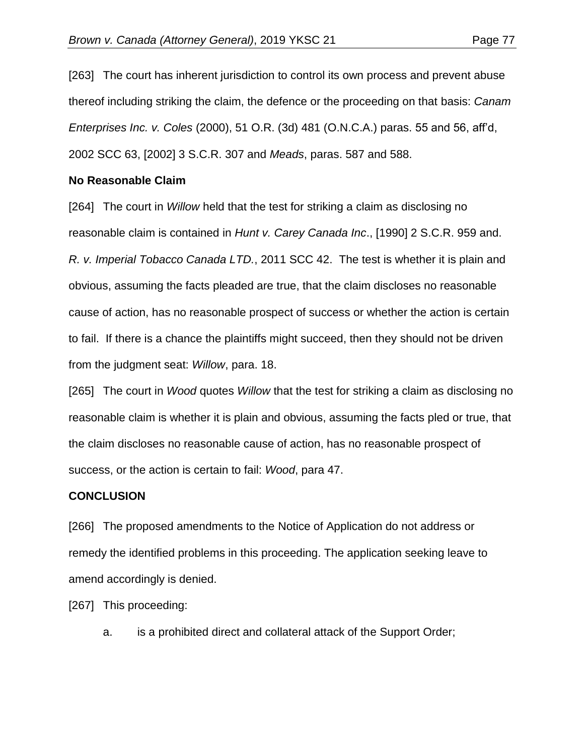[263] The court has inherent jurisdiction to control its own process and prevent abuse thereof including striking the claim, the defence or the proceeding on that basis: *Canam Enterprises Inc. v. Coles* (2000), 51 O.R. (3d) 481 (O.N.C.A.) paras. 55 and 56, aff'd, 2002 SCC 63, [2002] 3 S.C.R. 307 and *Meads*, paras. 587 and 588.

## **No Reasonable Claim**

[264] The court in *Willow* held that the test for striking a claim as disclosing no reasonable claim is contained in *Hunt v. Carey Canada Inc*., [1990] 2 S.C.R. 959 and. *R. v. Imperial Tobacco Canada LTD.*, 2011 SCC 42. The test is whether it is plain and obvious, assuming the facts pleaded are true, that the claim discloses no reasonable cause of action, has no reasonable prospect of success or whether the action is certain to fail. If there is a chance the plaintiffs might succeed, then they should not be driven from the judgment seat: *Willow*, para. 18.

[265] The court in *Wood* quotes *Willow* that the test for striking a claim as disclosing no reasonable claim is whether it is plain and obvious, assuming the facts pled or true, that the claim discloses no reasonable cause of action, has no reasonable prospect of success, or the action is certain to fail: *Wood*, para 47.

## **CONCLUSION**

[266] The proposed amendments to the Notice of Application do not address or remedy the identified problems in this proceeding. The application seeking leave to amend accordingly is denied.

[267] This proceeding:

a. is a prohibited direct and collateral attack of the Support Order;